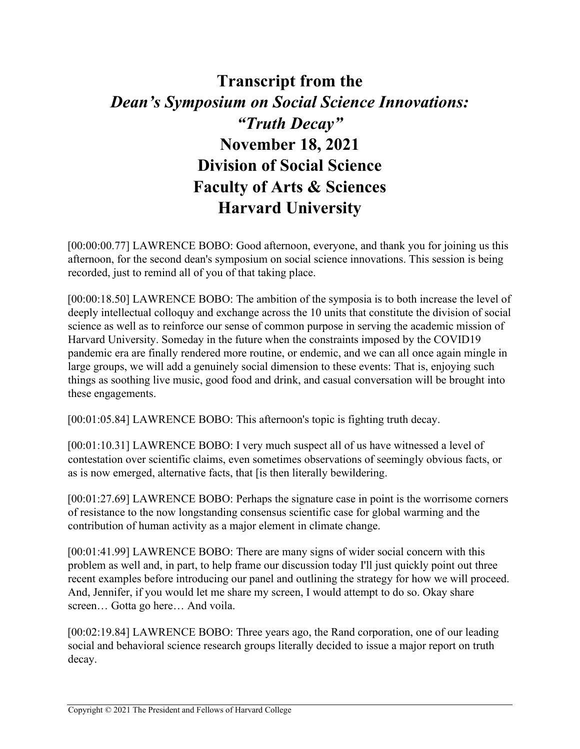## **Transcript from the**  *Dean's Symposium on Social Science Innovations: "Truth Decay"*  **November 18, 2021 Division of Social Science Faculty of Arts & Sciences Harvard University**

[00:00:00.77] LAWRENCE BOBO: Good afternoon, everyone, and thank you for joining us this afternoon, for the second dean's symposium on social science innovations. This session is being recorded, just to remind all of you of that taking place.

[00:00:18.50] LAWRENCE BOBO: The ambition of the symposia is to both increase the level of deeply intellectual colloquy and exchange across the 10 units that constitute the division of social science as well as to reinforce our sense of common purpose in serving the academic mission of Harvard University. Someday in the future when the constraints imposed by the COVID19 pandemic era are finally rendered more routine, or endemic, and we can all once again mingle in large groups, we will add a genuinely social dimension to these events: That is, enjoying such things as soothing live music, good food and drink, and casual conversation will be brought into these engagements.

[00:01:05.84] LAWRENCE BOBO: This afternoon's topic is fighting truth decay.

[00:01:10.31] LAWRENCE BOBO: I very much suspect all of us have witnessed a level of contestation over scientific claims, even sometimes observations of seemingly obvious facts, or as is now emerged, alternative facts, that [is then literally bewildering.

[00:01:27.69] LAWRENCE BOBO: Perhaps the signature case in point is the worrisome corners of resistance to the now longstanding consensus scientific case for global warming and the contribution of human activity as a major element in climate change.

[00:01:41.99] LAWRENCE BOBO: There are many signs of wider social concern with this problem as well and, in part, to help frame our discussion today I'll just quickly point out three recent examples before introducing our panel and outlining the strategy for how we will proceed. And, Jennifer, if you would let me share my screen, I would attempt to do so. Okay share screen… Gotta go here… And voila.

[00:02:19.84] LAWRENCE BOBO: Three years ago, the Rand corporation, one of our leading social and behavioral science research groups literally decided to issue a major report on truth decay.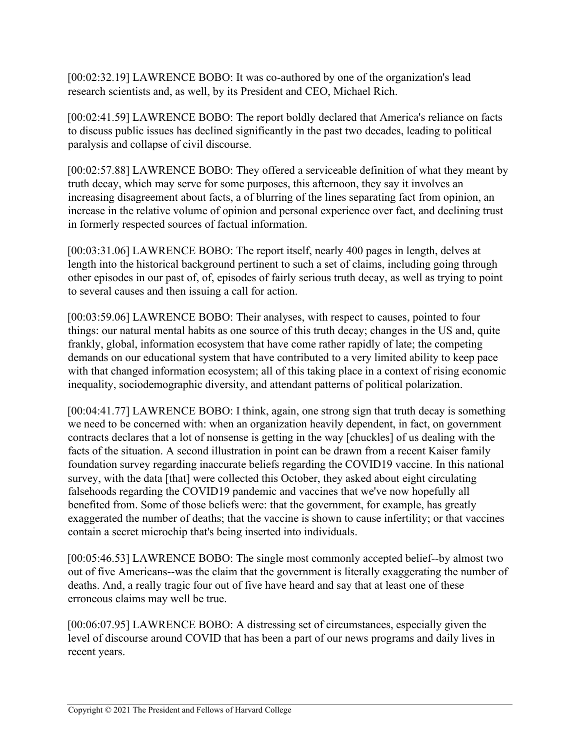[00:02:32.19] LAWRENCE BOBO: It was co-authored by one of the organization's lead research scientists and, as well, by its President and CEO, Michael Rich.

[00:02:41.59] LAWRENCE BOBO: The report boldly declared that America's reliance on facts to discuss public issues has declined significantly in the past two decades, leading to political paralysis and collapse of civil discourse.

[00:02:57.88] LAWRENCE BOBO: They offered a serviceable definition of what they meant by truth decay, which may serve for some purposes, this afternoon, they say it involves an increasing disagreement about facts, a of blurring of the lines separating fact from opinion, an increase in the relative volume of opinion and personal experience over fact, and declining trust in formerly respected sources of factual information.

[00:03:31.06] LAWRENCE BOBO: The report itself, nearly 400 pages in length, delves at length into the historical background pertinent to such a set of claims, including going through other episodes in our past of, of, episodes of fairly serious truth decay, as well as trying to point to several causes and then issuing a call for action.

[00:03:59.06] LAWRENCE BOBO: Their analyses, with respect to causes, pointed to four things: our natural mental habits as one source of this truth decay; changes in the US and, quite frankly, global, information ecosystem that have come rather rapidly of late; the competing demands on our educational system that have contributed to a very limited ability to keep pace with that changed information ecosystem; all of this taking place in a context of rising economic inequality, sociodemographic diversity, and attendant patterns of political polarization.

[00:04:41.77] LAWRENCE BOBO: I think, again, one strong sign that truth decay is something we need to be concerned with: when an organization heavily dependent, in fact, on government contracts declares that a lot of nonsense is getting in the way [chuckles] of us dealing with the facts of the situation. A second illustration in point can be drawn from a recent Kaiser family foundation survey regarding inaccurate beliefs regarding the COVID19 vaccine. In this national survey, with the data [that] were collected this October, they asked about eight circulating falsehoods regarding the COVID19 pandemic and vaccines that we've now hopefully all benefited from. Some of those beliefs were: that the government, for example, has greatly exaggerated the number of deaths; that the vaccine is shown to cause infertility; or that vaccines contain a secret microchip that's being inserted into individuals.

[00:05:46.53] LAWRENCE BOBO: The single most commonly accepted belief--by almost two out of five Americans--was the claim that the government is literally exaggerating the number of deaths. And, a really tragic four out of five have heard and say that at least one of these erroneous claims may well be true.

[00:06:07.95] LAWRENCE BOBO: A distressing set of circumstances, especially given the level of discourse around COVID that has been a part of our news programs and daily lives in recent years.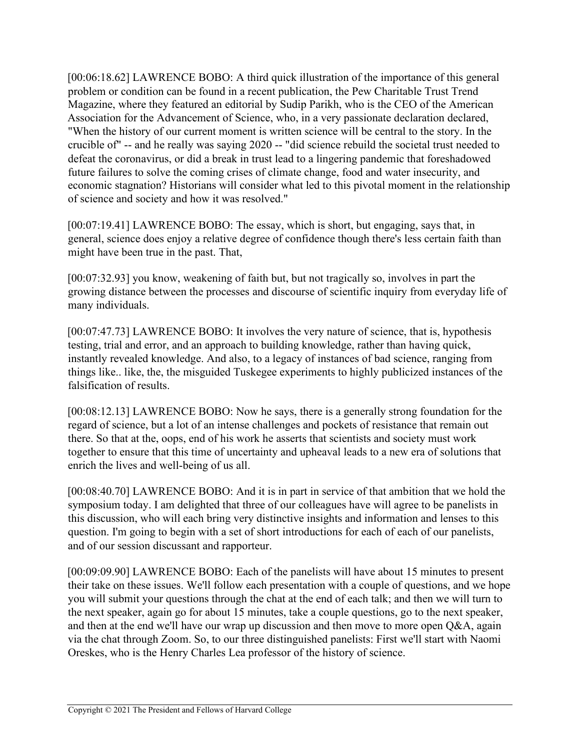[00:06:18.62] LAWRENCE BOBO: A third quick illustration of the importance of this general problem or condition can be found in a recent publication, the Pew Charitable Trust Trend Magazine, where they featured an editorial by Sudip Parikh, who is the CEO of the American Association for the Advancement of Science, who, in a very passionate declaration declared, "When the history of our current moment is written science will be central to the story. In the crucible of" -- and he really was saying 2020 -- "did science rebuild the societal trust needed to defeat the coronavirus, or did a break in trust lead to a lingering pandemic that foreshadowed future failures to solve the coming crises of climate change, food and water insecurity, and economic stagnation? Historians will consider what led to this pivotal moment in the relationship of science and society and how it was resolved."

[00:07:19.41] LAWRENCE BOBO: The essay, which is short, but engaging, says that, in general, science does enjoy a relative degree of confidence though there's less certain faith than might have been true in the past. That,

[00:07:32.93] you know, weakening of faith but, but not tragically so, involves in part the growing distance between the processes and discourse of scientific inquiry from everyday life of many individuals.

[00:07:47.73] LAWRENCE BOBO: It involves the very nature of science, that is, hypothesis testing, trial and error, and an approach to building knowledge, rather than having quick, instantly revealed knowledge. And also, to a legacy of instances of bad science, ranging from things like.. like, the, the misguided Tuskegee experiments to highly publicized instances of the falsification of results.

[00:08:12.13] LAWRENCE BOBO: Now he says, there is a generally strong foundation for the regard of science, but a lot of an intense challenges and pockets of resistance that remain out there. So that at the, oops, end of his work he asserts that scientists and society must work together to ensure that this time of uncertainty and upheaval leads to a new era of solutions that enrich the lives and well-being of us all.

[00:08:40.70] LAWRENCE BOBO: And it is in part in service of that ambition that we hold the symposium today. I am delighted that three of our colleagues have will agree to be panelists in this discussion, who will each bring very distinctive insights and information and lenses to this question. I'm going to begin with a set of short introductions for each of each of our panelists, and of our session discussant and rapporteur.

[00:09:09.90] LAWRENCE BOBO: Each of the panelists will have about 15 minutes to present their take on these issues. We'll follow each presentation with a couple of questions, and we hope you will submit your questions through the chat at the end of each talk; and then we will turn to the next speaker, again go for about 15 minutes, take a couple questions, go to the next speaker, and then at the end we'll have our wrap up discussion and then move to more open Q&A, again via the chat through Zoom. So, to our three distinguished panelists: First we'll start with Naomi Oreskes, who is the Henry Charles Lea professor of the history of science.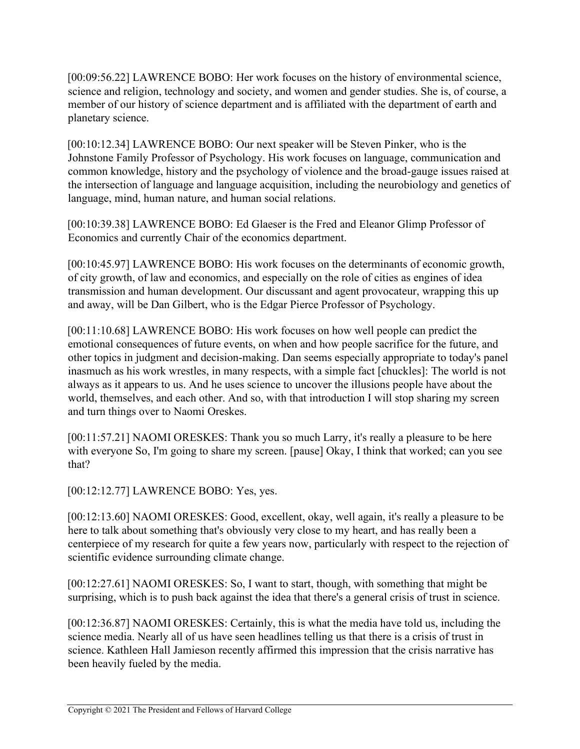[00:09:56.22] LAWRENCE BOBO: Her work focuses on the history of environmental science, science and religion, technology and society, and women and gender studies. She is, of course, a member of our history of science department and is affiliated with the department of earth and planetary science.

[00:10:12.34] LAWRENCE BOBO: Our next speaker will be Steven Pinker, who is the Johnstone Family Professor of Psychology. His work focuses on language, communication and common knowledge, history and the psychology of violence and the broad-gauge issues raised at the intersection of language and language acquisition, including the neurobiology and genetics of language, mind, human nature, and human social relations.

[00:10:39.38] LAWRENCE BOBO: Ed Glaeser is the Fred and Eleanor Glimp Professor of Economics and currently Chair of the economics department.

[00:10:45.97] LAWRENCE BOBO: His work focuses on the determinants of economic growth, of city growth, of law and economics, and especially on the role of cities as engines of idea transmission and human development. Our discussant and agent provocateur, wrapping this up and away, will be Dan Gilbert, who is the Edgar Pierce Professor of Psychology.

[00:11:10.68] LAWRENCE BOBO: His work focuses on how well people can predict the emotional consequences of future events, on when and how people sacrifice for the future, and other topics in judgment and decision-making. Dan seems especially appropriate to today's panel inasmuch as his work wrestles, in many respects, with a simple fact [chuckles]: The world is not always as it appears to us. And he uses science to uncover the illusions people have about the world, themselves, and each other. And so, with that introduction I will stop sharing my screen and turn things over to Naomi Oreskes.

[00:11:57.21] NAOMI ORESKES: Thank you so much Larry, it's really a pleasure to be here with everyone So, I'm going to share my screen. [pause] Okay, I think that worked; can you see that?

[00:12:12.77] LAWRENCE BOBO: Yes, yes.

[00:12:13.60] NAOMI ORESKES: Good, excellent, okay, well again, it's really a pleasure to be here to talk about something that's obviously very close to my heart, and has really been a centerpiece of my research for quite a few years now, particularly with respect to the rejection of scientific evidence surrounding climate change.

[00:12:27.61] NAOMI ORESKES: So, I want to start, though, with something that might be surprising, which is to push back against the idea that there's a general crisis of trust in science.

[00:12:36.87] NAOMI ORESKES: Certainly, this is what the media have told us, including the science media. Nearly all of us have seen headlines telling us that there is a crisis of trust in science. Kathleen Hall Jamieson recently affirmed this impression that the crisis narrative has been heavily fueled by the media.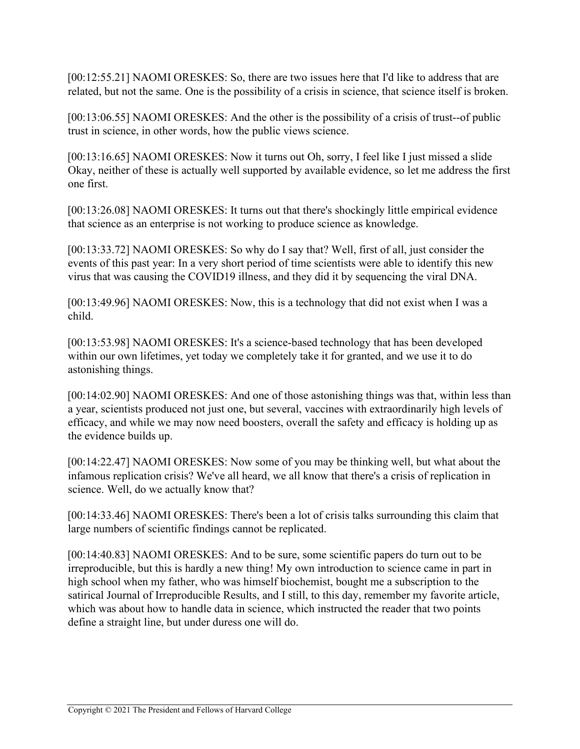[00:12:55.21] NAOMI ORESKES: So, there are two issues here that I'd like to address that are related, but not the same. One is the possibility of a crisis in science, that science itself is broken.

[00:13:06.55] NAOMI ORESKES: And the other is the possibility of a crisis of trust--of public trust in science, in other words, how the public views science.

[00:13:16.65] NAOMI ORESKES: Now it turns out Oh, sorry, I feel like I just missed a slide Okay, neither of these is actually well supported by available evidence, so let me address the first one first.

[00:13:26.08] NAOMI ORESKES: It turns out that there's shockingly little empirical evidence that science as an enterprise is not working to produce science as knowledge.

[00:13:33.72] NAOMI ORESKES: So why do I say that? Well, first of all, just consider the events of this past year: In a very short period of time scientists were able to identify this new virus that was causing the COVID19 illness, and they did it by sequencing the viral DNA.

[00:13:49.96] NAOMI ORESKES: Now, this is a technology that did not exist when I was a child.

[00:13:53.98] NAOMI ORESKES: It's a science-based technology that has been developed within our own lifetimes, yet today we completely take it for granted, and we use it to do astonishing things.

[00:14:02.90] NAOMI ORESKES: And one of those astonishing things was that, within less than a year, scientists produced not just one, but several, vaccines with extraordinarily high levels of efficacy, and while we may now need boosters, overall the safety and efficacy is holding up as the evidence builds up.

[00:14:22.47] NAOMI ORESKES: Now some of you may be thinking well, but what about the infamous replication crisis? We've all heard, we all know that there's a crisis of replication in science. Well, do we actually know that?

[00:14:33.46] NAOMI ORESKES: There's been a lot of crisis talks surrounding this claim that large numbers of scientific findings cannot be replicated.

[00:14:40.83] NAOMI ORESKES: And to be sure, some scientific papers do turn out to be irreproducible, but this is hardly a new thing! My own introduction to science came in part in high school when my father, who was himself biochemist, bought me a subscription to the satirical Journal of Irreproducible Results, and I still, to this day, remember my favorite article, which was about how to handle data in science, which instructed the reader that two points define a straight line, but under duress one will do.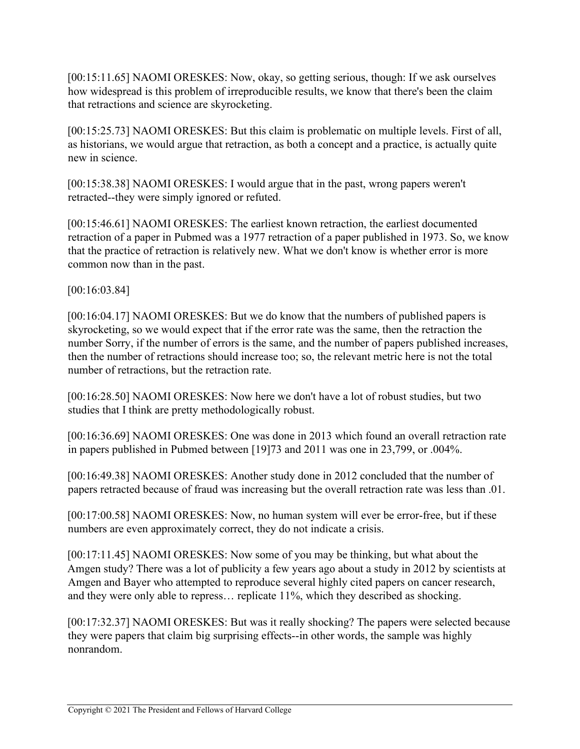[00:15:11.65] NAOMI ORESKES: Now, okay, so getting serious, though: If we ask ourselves how widespread is this problem of irreproducible results, we know that there's been the claim that retractions and science are skyrocketing.

[00:15:25.73] NAOMI ORESKES: But this claim is problematic on multiple levels. First of all, as historians, we would argue that retraction, as both a concept and a practice, is actually quite new in science.

[00:15:38.38] NAOMI ORESKES: I would argue that in the past, wrong papers weren't retracted--they were simply ignored or refuted.

[00:15:46.61] NAOMI ORESKES: The earliest known retraction, the earliest documented retraction of a paper in Pubmed was a 1977 retraction of a paper published in 1973. So, we know that the practice of retraction is relatively new. What we don't know is whether error is more common now than in the past.

[00:16:03.84]

[00:16:04.17] NAOMI ORESKES: But we do know that the numbers of published papers is skyrocketing, so we would expect that if the error rate was the same, then the retraction the number Sorry, if the number of errors is the same, and the number of papers published increases, then the number of retractions should increase too; so, the relevant metric here is not the total number of retractions, but the retraction rate.

[00:16:28.50] NAOMI ORESKES: Now here we don't have a lot of robust studies, but two studies that I think are pretty methodologically robust.

[00:16:36.69] NAOMI ORESKES: One was done in 2013 which found an overall retraction rate in papers published in Pubmed between [19]73 and 2011 was one in 23,799, or .004%.

[00:16:49.38] NAOMI ORESKES: Another study done in 2012 concluded that the number of papers retracted because of fraud was increasing but the overall retraction rate was less than .01.

[00:17:00.58] NAOMI ORESKES: Now, no human system will ever be error-free, but if these numbers are even approximately correct, they do not indicate a crisis.

[00:17:11.45] NAOMI ORESKES: Now some of you may be thinking, but what about the Amgen study? There was a lot of publicity a few years ago about a study in 2012 by scientists at Amgen and Bayer who attempted to reproduce several highly cited papers on cancer research, and they were only able to repress… replicate 11%, which they described as shocking.

[00:17:32.37] NAOMI ORESKES: But was it really shocking? The papers were selected because they were papers that claim big surprising effects--in other words, the sample was highly nonrandom.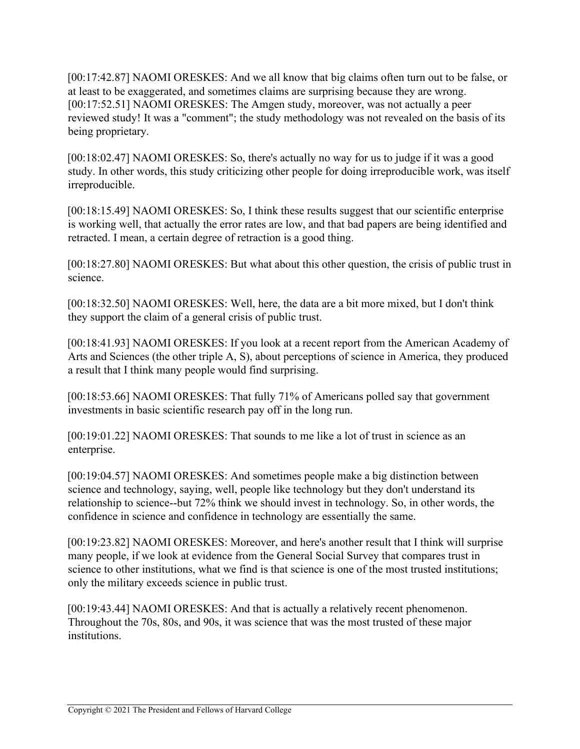[00:17:42.87] NAOMI ORESKES: And we all know that big claims often turn out to be false, or at least to be exaggerated, and sometimes claims are surprising because they are wrong. [00:17:52.51] NAOMI ORESKES: The Amgen study, moreover, was not actually a peer reviewed study! It was a "comment"; the study methodology was not revealed on the basis of its being proprietary.

[00:18:02.47] NAOMI ORESKES: So, there's actually no way for us to judge if it was a good study. In other words, this study criticizing other people for doing irreproducible work, was itself irreproducible.

[00:18:15.49] NAOMI ORESKES: So, I think these results suggest that our scientific enterprise is working well, that actually the error rates are low, and that bad papers are being identified and retracted. I mean, a certain degree of retraction is a good thing.

[00:18:27.80] NAOMI ORESKES: But what about this other question, the crisis of public trust in science.

[00:18:32.50] NAOMI ORESKES: Well, here, the data are a bit more mixed, but I don't think they support the claim of a general crisis of public trust.

[00:18:41.93] NAOMI ORESKES: If you look at a recent report from the American Academy of Arts and Sciences (the other triple A, S), about perceptions of science in America, they produced a result that I think many people would find surprising.

[00:18:53.66] NAOMI ORESKES: That fully 71% of Americans polled say that government investments in basic scientific research pay off in the long run.

[00:19:01.22] NAOMI ORESKES: That sounds to me like a lot of trust in science as an enterprise.

[00:19:04.57] NAOMI ORESKES: And sometimes people make a big distinction between science and technology, saying, well, people like technology but they don't understand its relationship to science--but 72% think we should invest in technology. So, in other words, the confidence in science and confidence in technology are essentially the same.

[00:19:23.82] NAOMI ORESKES: Moreover, and here's another result that I think will surprise many people, if we look at evidence from the General Social Survey that compares trust in science to other institutions, what we find is that science is one of the most trusted institutions; only the military exceeds science in public trust.

[00:19:43.44] NAOMI ORESKES: And that is actually a relatively recent phenomenon. Throughout the 70s, 80s, and 90s, it was science that was the most trusted of these major institutions.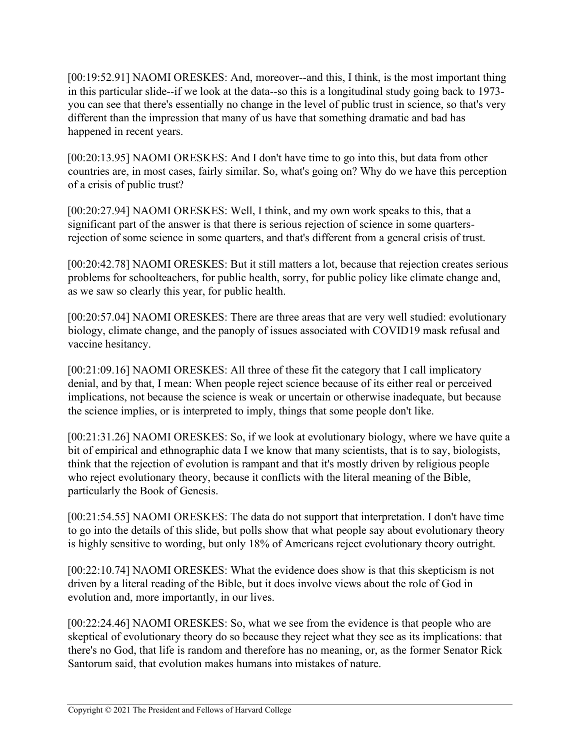[00:19:52.91] NAOMI ORESKES: And, moreover--and this, I think, is the most important thing in this particular slide--if we look at the data--so this is a longitudinal study going back to 1973 you can see that there's essentially no change in the level of public trust in science, so that's very different than the impression that many of us have that something dramatic and bad has happened in recent years.

[00:20:13.95] NAOMI ORESKES: And I don't have time to go into this, but data from other countries are, in most cases, fairly similar. So, what's going on? Why do we have this perception of a crisis of public trust?

[00:20:27.94] NAOMI ORESKES: Well, I think, and my own work speaks to this, that a significant part of the answer is that there is serious rejection of science in some quartersrejection of some science in some quarters, and that's different from a general crisis of trust.

[00:20:42.78] NAOMI ORESKES: But it still matters a lot, because that rejection creates serious problems for schoolteachers, for public health, sorry, for public policy like climate change and, as we saw so clearly this year, for public health.

[00:20:57.04] NAOMI ORESKES: There are three areas that are very well studied: evolutionary biology, climate change, and the panoply of issues associated with COVID19 mask refusal and vaccine hesitancy.

[00:21:09.16] NAOMI ORESKES: All three of these fit the category that I call implicatory denial, and by that, I mean: When people reject science because of its either real or perceived implications, not because the science is weak or uncertain or otherwise inadequate, but because the science implies, or is interpreted to imply, things that some people don't like.

[00:21:31.26] NAOMI ORESKES: So, if we look at evolutionary biology, where we have quite a bit of empirical and ethnographic data I we know that many scientists, that is to say, biologists, think that the rejection of evolution is rampant and that it's mostly driven by religious people who reject evolutionary theory, because it conflicts with the literal meaning of the Bible, particularly the Book of Genesis.

[00:21:54.55] NAOMI ORESKES: The data do not support that interpretation. I don't have time to go into the details of this slide, but polls show that what people say about evolutionary theory is highly sensitive to wording, but only 18% of Americans reject evolutionary theory outright.

[00:22:10.74] NAOMI ORESKES: What the evidence does show is that this skepticism is not driven by a literal reading of the Bible, but it does involve views about the role of God in evolution and, more importantly, in our lives.

[00:22:24.46] NAOMI ORESKES: So, what we see from the evidence is that people who are skeptical of evolutionary theory do so because they reject what they see as its implications: that there's no God, that life is random and therefore has no meaning, or, as the former Senator Rick Santorum said, that evolution makes humans into mistakes of nature.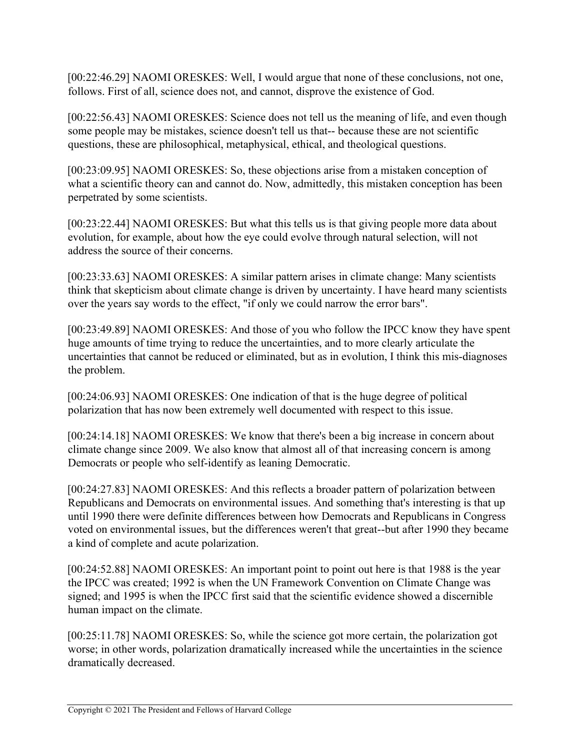[00:22:46.29] NAOMI ORESKES: Well, I would argue that none of these conclusions, not one, follows. First of all, science does not, and cannot, disprove the existence of God.

[00:22:56.43] NAOMI ORESKES: Science does not tell us the meaning of life, and even though some people may be mistakes, science doesn't tell us that-- because these are not scientific questions, these are philosophical, metaphysical, ethical, and theological questions.

[00:23:09.95] NAOMI ORESKES: So, these objections arise from a mistaken conception of what a scientific theory can and cannot do. Now, admittedly, this mistaken conception has been perpetrated by some scientists.

[00:23:22.44] NAOMI ORESKES: But what this tells us is that giving people more data about evolution, for example, about how the eye could evolve through natural selection, will not address the source of their concerns.

[00:23:33.63] NAOMI ORESKES: A similar pattern arises in climate change: Many scientists think that skepticism about climate change is driven by uncertainty. I have heard many scientists over the years say words to the effect, "if only we could narrow the error bars".

[00:23:49.89] NAOMI ORESKES: And those of you who follow the IPCC know they have spent huge amounts of time trying to reduce the uncertainties, and to more clearly articulate the uncertainties that cannot be reduced or eliminated, but as in evolution, I think this mis-diagnoses the problem.

[00:24:06.93] NAOMI ORESKES: One indication of that is the huge degree of political polarization that has now been extremely well documented with respect to this issue.

[00:24:14.18] NAOMI ORESKES: We know that there's been a big increase in concern about climate change since 2009. We also know that almost all of that increasing concern is among Democrats or people who self-identify as leaning Democratic.

[00:24:27.83] NAOMI ORESKES: And this reflects a broader pattern of polarization between Republicans and Democrats on environmental issues. And something that's interesting is that up until 1990 there were definite differences between how Democrats and Republicans in Congress voted on environmental issues, but the differences weren't that great--but after 1990 they became a kind of complete and acute polarization.

[00:24:52.88] NAOMI ORESKES: An important point to point out here is that 1988 is the year the IPCC was created; 1992 is when the UN Framework Convention on Climate Change was signed; and 1995 is when the IPCC first said that the scientific evidence showed a discernible human impact on the climate.

[00:25:11.78] NAOMI ORESKES: So, while the science got more certain, the polarization got worse; in other words, polarization dramatically increased while the uncertainties in the science dramatically decreased.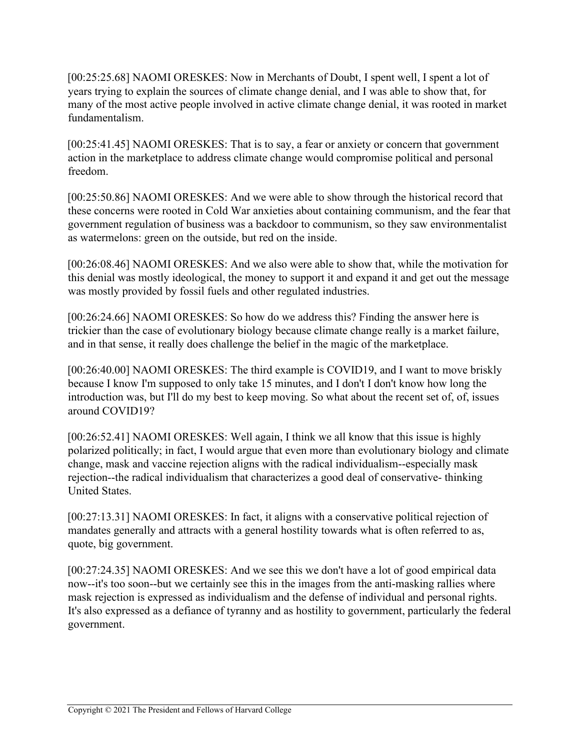[00:25:25.68] NAOMI ORESKES: Now in Merchants of Doubt, I spent well, I spent a lot of years trying to explain the sources of climate change denial, and I was able to show that, for many of the most active people involved in active climate change denial, it was rooted in market fundamentalism.

[00:25:41.45] NAOMI ORESKES: That is to say, a fear or anxiety or concern that government action in the marketplace to address climate change would compromise political and personal freedom.

[00:25:50.86] NAOMI ORESKES: And we were able to show through the historical record that these concerns were rooted in Cold War anxieties about containing communism, and the fear that government regulation of business was a backdoor to communism, so they saw environmentalist as watermelons: green on the outside, but red on the inside.

[00:26:08.46] NAOMI ORESKES: And we also were able to show that, while the motivation for this denial was mostly ideological, the money to support it and expand it and get out the message was mostly provided by fossil fuels and other regulated industries.

[00:26:24.66] NAOMI ORESKES: So how do we address this? Finding the answer here is trickier than the case of evolutionary biology because climate change really is a market failure, and in that sense, it really does challenge the belief in the magic of the marketplace.

[00:26:40.00] NAOMI ORESKES: The third example is COVID19, and I want to move briskly because I know I'm supposed to only take 15 minutes, and I don't I don't know how long the introduction was, but I'll do my best to keep moving. So what about the recent set of, of, issues around COVID19?

[00:26:52.41] NAOMI ORESKES: Well again, I think we all know that this issue is highly polarized politically; in fact, I would argue that even more than evolutionary biology and climate change, mask and vaccine rejection aligns with the radical individualism--especially mask rejection--the radical individualism that characterizes a good deal of conservative- thinking United States.

[00:27:13.31] NAOMI ORESKES: In fact, it aligns with a conservative political rejection of mandates generally and attracts with a general hostility towards what is often referred to as, quote, big government.

[00:27:24.35] NAOMI ORESKES: And we see this we don't have a lot of good empirical data now--it's too soon--but we certainly see this in the images from the anti-masking rallies where mask rejection is expressed as individualism and the defense of individual and personal rights. It's also expressed as a defiance of tyranny and as hostility to government, particularly the federal government.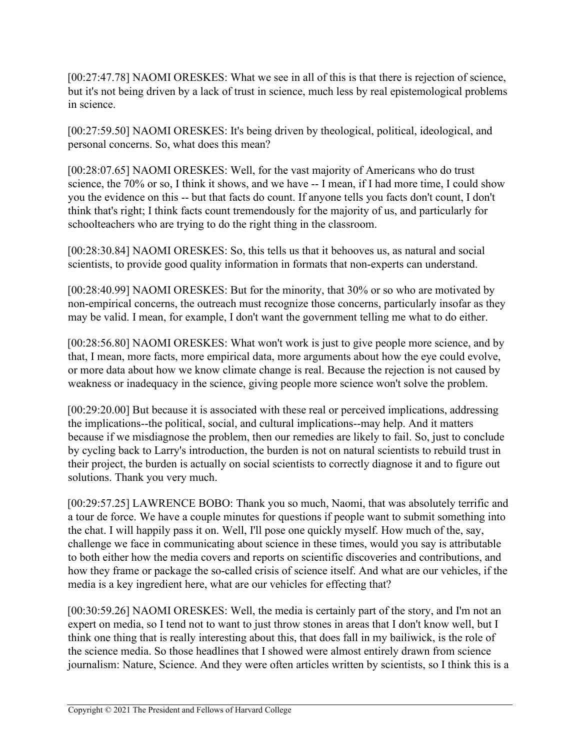[00:27:47.78] NAOMI ORESKES: What we see in all of this is that there is rejection of science, but it's not being driven by a lack of trust in science, much less by real epistemological problems in science.

[00:27:59.50] NAOMI ORESKES: It's being driven by theological, political, ideological, and personal concerns. So, what does this mean?

[00:28:07.65] NAOMI ORESKES: Well, for the vast majority of Americans who do trust science, the 70% or so, I think it shows, and we have -- I mean, if I had more time, I could show you the evidence on this -- but that facts do count. If anyone tells you facts don't count, I don't think that's right; I think facts count tremendously for the majority of us, and particularly for schoolteachers who are trying to do the right thing in the classroom.

[00:28:30.84] NAOMI ORESKES: So, this tells us that it behooves us, as natural and social scientists, to provide good quality information in formats that non-experts can understand.

[00:28:40.99] NAOMI ORESKES: But for the minority, that 30% or so who are motivated by non-empirical concerns, the outreach must recognize those concerns, particularly insofar as they may be valid. I mean, for example, I don't want the government telling me what to do either.

[00:28:56.80] NAOMI ORESKES: What won't work is just to give people more science, and by that, I mean, more facts, more empirical data, more arguments about how the eye could evolve, or more data about how we know climate change is real. Because the rejection is not caused by weakness or inadequacy in the science, giving people more science won't solve the problem.

[00:29:20.00] But because it is associated with these real or perceived implications, addressing the implications--the political, social, and cultural implications--may help. And it matters because if we misdiagnose the problem, then our remedies are likely to fail. So, just to conclude by cycling back to Larry's introduction, the burden is not on natural scientists to rebuild trust in their project, the burden is actually on social scientists to correctly diagnose it and to figure out solutions. Thank you very much.

[00:29:57.25] LAWRENCE BOBO: Thank you so much, Naomi, that was absolutely terrific and a tour de force. We have a couple minutes for questions if people want to submit something into the chat. I will happily pass it on. Well, I'll pose one quickly myself. How much of the, say, challenge we face in communicating about science in these times, would you say is attributable to both either how the media covers and reports on scientific discoveries and contributions, and how they frame or package the so-called crisis of science itself. And what are our vehicles, if the media is a key ingredient here, what are our vehicles for effecting that?

[00:30:59.26] NAOMI ORESKES: Well, the media is certainly part of the story, and I'm not an expert on media, so I tend not to want to just throw stones in areas that I don't know well, but I think one thing that is really interesting about this, that does fall in my bailiwick, is the role of the science media. So those headlines that I showed were almost entirely drawn from science journalism: Nature, Science. And they were often articles written by scientists, so I think this is a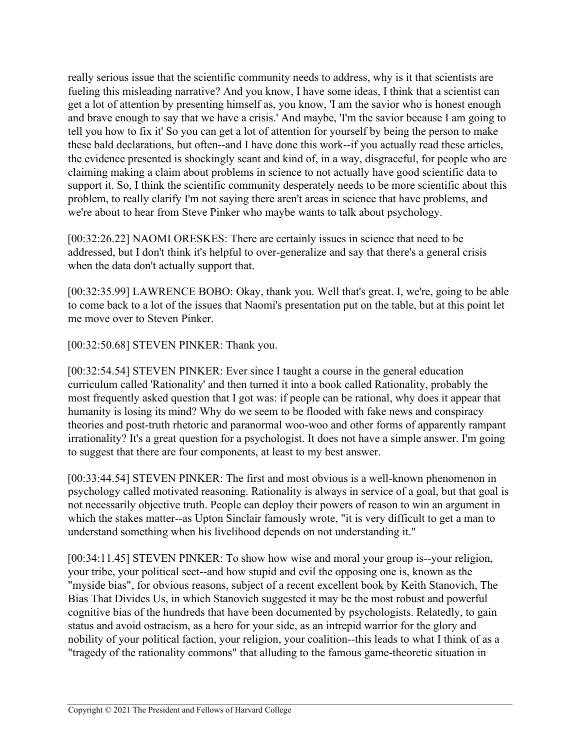really serious issue that the scientific community needs to address, why is it that scientists are fueling this misleading narrative? And you know, I have some ideas, I think that a scientist can get a lot of attention by presenting himself as, you know, 'I am the savior who is honest enough and brave enough to say that we have a crisis.' And maybe, 'I'm the savior because I am going to tell you how to fix it' So you can get a lot of attention for yourself by being the person to make these bald declarations, but often--and I have done this work--if you actually read these articles, the evidence presented is shockingly scant and kind of, in a way, disgraceful, for people who are claiming making a claim about problems in science to not actually have good scientific data to support it. So, I think the scientific community desperately needs to be more scientific about this problem, to really clarify I'm not saying there aren't areas in science that have problems, and we're about to hear from Steve Pinker who maybe wants to talk about psychology.

[00:32:26.22] NAOMI ORESKES: There are certainly issues in science that need to be addressed, but I don't think it's helpful to over-generalize and say that there's a general crisis when the data don't actually support that.

[00:32:35.99] LAWRENCE BOBO: Okay, thank you. Well that's great. I, we're, going to be able to come back to a lot of the issues that Naomi's presentation put on the table, but at this point let me move over to Steven Pinker.

[00:32:50.68] STEVEN PINKER: Thank you.

[00:32:54.54] STEVEN PINKER: Ever since I taught a course in the general education curriculum called 'Rationality' and then turned it into a book called Rationality, probably the most frequently asked question that I got was: if people can be rational, why does it appear that humanity is losing its mind? Why do we seem to be flooded with fake news and conspiracy theories and post-truth rhetoric and paranormal woo-woo and other forms of apparently rampant irrationality? It's a great question for a psychologist. It does not have a simple answer. I'm going to suggest that there are four components, at least to my best answer.

[00:33:44.54] STEVEN PINKER: The first and most obvious is a well-known phenomenon in psychology called motivated reasoning. Rationality is always in service of a goal, but that goal is not necessarily objective truth. People can deploy their powers of reason to win an argument in which the stakes matter--as Upton Sinclair famously wrote, "it is very difficult to get a man to understand something when his livelihood depends on not understanding it."

[00:34:11.45] STEVEN PINKER: To show how wise and moral your group is--your religion, your tribe, your political sect--and how stupid and evil the opposing one is, known as the "myside bias", for obvious reasons, subject of a recent excellent book by Keith Stanovich, The Bias That Divides Us, in which Stanovich suggested it may be the most robust and powerful cognitive bias of the hundreds that have been documented by psychologists. Relatedly, to gain status and avoid ostracism, as a hero for your side, as an intrepid warrior for the glory and nobility of your political faction, your religion, your coalition--this leads to what I think of as a "tragedy of the rationality commons" that alluding to the famous game-theoretic situation in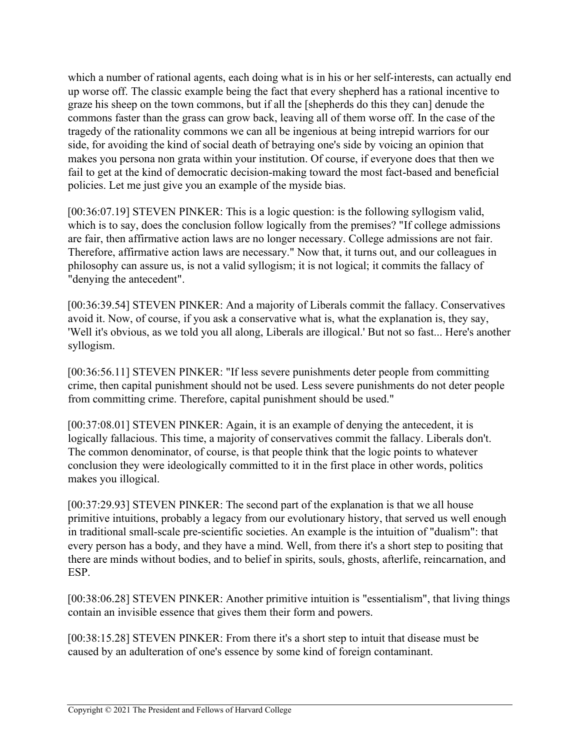which a number of rational agents, each doing what is in his or her self-interests, can actually end up worse off. The classic example being the fact that every shepherd has a rational incentive to graze his sheep on the town commons, but if all the [shepherds do this they can] denude the commons faster than the grass can grow back, leaving all of them worse off. In the case of the tragedy of the rationality commons we can all be ingenious at being intrepid warriors for our side, for avoiding the kind of social death of betraying one's side by voicing an opinion that makes you persona non grata within your institution. Of course, if everyone does that then we fail to get at the kind of democratic decision-making toward the most fact-based and beneficial policies. Let me just give you an example of the myside bias.

[00:36:07.19] STEVEN PINKER: This is a logic question: is the following syllogism valid, which is to say, does the conclusion follow logically from the premises? "If college admissions are fair, then affirmative action laws are no longer necessary. College admissions are not fair. Therefore, affirmative action laws are necessary." Now that, it turns out, and our colleagues in philosophy can assure us, is not a valid syllogism; it is not logical; it commits the fallacy of "denying the antecedent".

[00:36:39.54] STEVEN PINKER: And a majority of Liberals commit the fallacy. Conservatives avoid it. Now, of course, if you ask a conservative what is, what the explanation is, they say, 'Well it's obvious, as we told you all along, Liberals are illogical.' But not so fast... Here's another syllogism.

[00:36:56.11] STEVEN PINKER: "If less severe punishments deter people from committing crime, then capital punishment should not be used. Less severe punishments do not deter people from committing crime. Therefore, capital punishment should be used."

[00:37:08.01] STEVEN PINKER: Again, it is an example of denying the antecedent, it is logically fallacious. This time, a majority of conservatives commit the fallacy. Liberals don't. The common denominator, of course, is that people think that the logic points to whatever conclusion they were ideologically committed to it in the first place in other words, politics makes you illogical.

[00:37:29.93] STEVEN PINKER: The second part of the explanation is that we all house primitive intuitions, probably a legacy from our evolutionary history, that served us well enough in traditional small-scale pre-scientific societies. An example is the intuition of "dualism": that every person has a body, and they have a mind. Well, from there it's a short step to positing that there are minds without bodies, and to belief in spirits, souls, ghosts, afterlife, reincarnation, and ESP.

[00:38:06.28] STEVEN PINKER: Another primitive intuition is "essentialism", that living things contain an invisible essence that gives them their form and powers.

[00:38:15.28] STEVEN PINKER: From there it's a short step to intuit that disease must be caused by an adulteration of one's essence by some kind of foreign contaminant.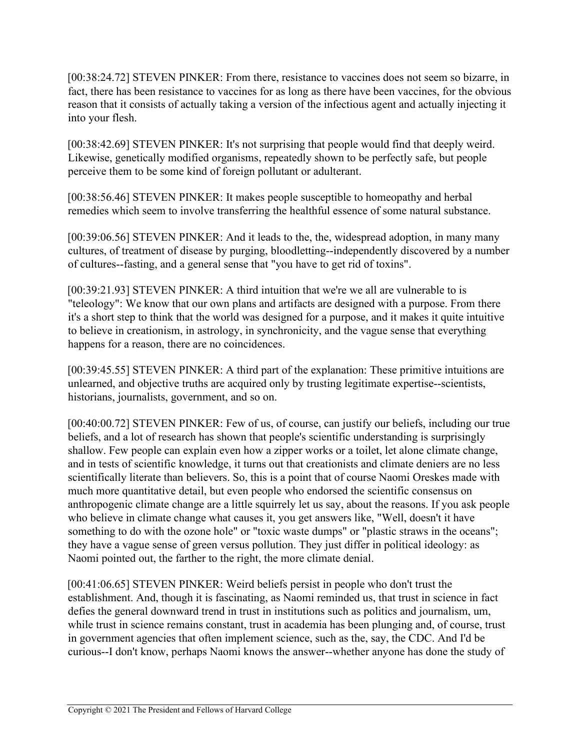[00:38:24.72] STEVEN PINKER: From there, resistance to vaccines does not seem so bizarre, in fact, there has been resistance to vaccines for as long as there have been vaccines, for the obvious reason that it consists of actually taking a version of the infectious agent and actually injecting it into your flesh.

[00:38:42.69] STEVEN PINKER: It's not surprising that people would find that deeply weird. Likewise, genetically modified organisms, repeatedly shown to be perfectly safe, but people perceive them to be some kind of foreign pollutant or adulterant.

[00:38:56.46] STEVEN PINKER: It makes people susceptible to homeopathy and herbal remedies which seem to involve transferring the healthful essence of some natural substance.

[00:39:06.56] STEVEN PINKER: And it leads to the, the, widespread adoption, in many many cultures, of treatment of disease by purging, bloodletting--independently discovered by a number of cultures--fasting, and a general sense that "you have to get rid of toxins".

[00:39:21.93] STEVEN PINKER: A third intuition that we're we all are vulnerable to is "teleology": We know that our own plans and artifacts are designed with a purpose. From there it's a short step to think that the world was designed for a purpose, and it makes it quite intuitive to believe in creationism, in astrology, in synchronicity, and the vague sense that everything happens for a reason, there are no coincidences.

[00:39:45.55] STEVEN PINKER: A third part of the explanation: These primitive intuitions are unlearned, and objective truths are acquired only by trusting legitimate expertise--scientists, historians, journalists, government, and so on.

[00:40:00.72] STEVEN PINKER: Few of us, of course, can justify our beliefs, including our true beliefs, and a lot of research has shown that people's scientific understanding is surprisingly shallow. Few people can explain even how a zipper works or a toilet, let alone climate change, and in tests of scientific knowledge, it turns out that creationists and climate deniers are no less scientifically literate than believers. So, this is a point that of course Naomi Oreskes made with much more quantitative detail, but even people who endorsed the scientific consensus on anthropogenic climate change are a little squirrely let us say, about the reasons. If you ask people who believe in climate change what causes it, you get answers like, "Well, doesn't it have something to do with the ozone hole" or "toxic waste dumps" or "plastic straws in the oceans"; they have a vague sense of green versus pollution. They just differ in political ideology: as Naomi pointed out, the farther to the right, the more climate denial.

[00:41:06.65] STEVEN PINKER: Weird beliefs persist in people who don't trust the establishment. And, though it is fascinating, as Naomi reminded us, that trust in science in fact defies the general downward trend in trust in institutions such as politics and journalism, um, while trust in science remains constant, trust in academia has been plunging and, of course, trust in government agencies that often implement science, such as the, say, the CDC. And I'd be curious--I don't know, perhaps Naomi knows the answer--whether anyone has done the study of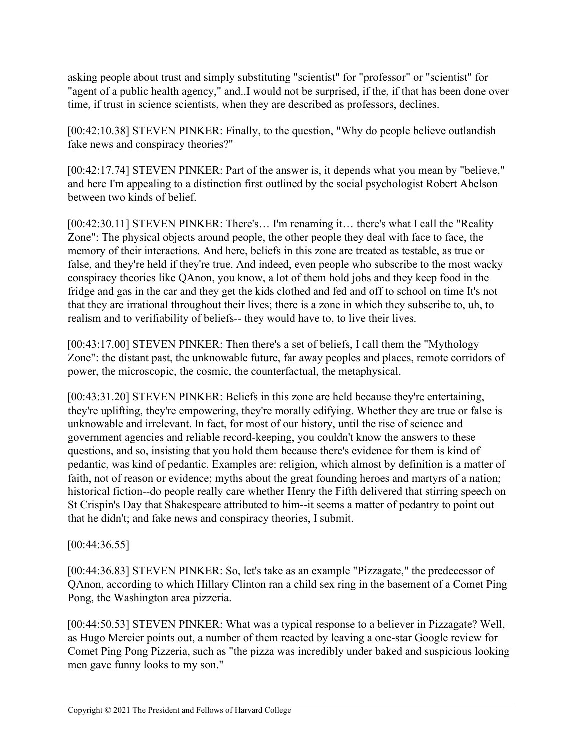asking people about trust and simply substituting "scientist" for "professor" or "scientist" for "agent of a public health agency," and..I would not be surprised, if the, if that has been done over time, if trust in science scientists, when they are described as professors, declines.

[00:42:10.38] STEVEN PINKER: Finally, to the question, "Why do people believe outlandish fake news and conspiracy theories?"

[00:42:17.74] STEVEN PINKER: Part of the answer is, it depends what you mean by "believe," and here I'm appealing to a distinction first outlined by the social psychologist Robert Abelson between two kinds of belief.

[00:42:30.11] STEVEN PINKER: There's... I'm renaming it... there's what I call the "Reality Zone": The physical objects around people, the other people they deal with face to face, the memory of their interactions. And here, beliefs in this zone are treated as testable, as true or false, and they're held if they're true. And indeed, even people who subscribe to the most wacky conspiracy theories like QAnon, you know, a lot of them hold jobs and they keep food in the fridge and gas in the car and they get the kids clothed and fed and off to school on time It's not that they are irrational throughout their lives; there is a zone in which they subscribe to, uh, to realism and to verifiability of beliefs-- they would have to, to live their lives.

[00:43:17.00] STEVEN PINKER: Then there's a set of beliefs, I call them the "Mythology Zone": the distant past, the unknowable future, far away peoples and places, remote corridors of power, the microscopic, the cosmic, the counterfactual, the metaphysical.

[00:43:31.20] STEVEN PINKER: Beliefs in this zone are held because they're entertaining, they're uplifting, they're empowering, they're morally edifying. Whether they are true or false is unknowable and irrelevant. In fact, for most of our history, until the rise of science and government agencies and reliable record-keeping, you couldn't know the answers to these questions, and so, insisting that you hold them because there's evidence for them is kind of pedantic, was kind of pedantic. Examples are: religion, which almost by definition is a matter of faith, not of reason or evidence; myths about the great founding heroes and martyrs of a nation; historical fiction--do people really care whether Henry the Fifth delivered that stirring speech on St Crispin's Day that Shakespeare attributed to him--it seems a matter of pedantry to point out that he didn't; and fake news and conspiracy theories, I submit.

## [00:44:36.55]

[00:44:36.83] STEVEN PINKER: So, let's take as an example "Pizzagate," the predecessor of QAnon, according to which Hillary Clinton ran a child sex ring in the basement of a Comet Ping Pong, the Washington area pizzeria.

[00:44:50.53] STEVEN PINKER: What was a typical response to a believer in Pizzagate? Well, as Hugo Mercier points out, a number of them reacted by leaving a one-star Google review for Comet Ping Pong Pizzeria, such as "the pizza was incredibly under baked and suspicious looking men gave funny looks to my son."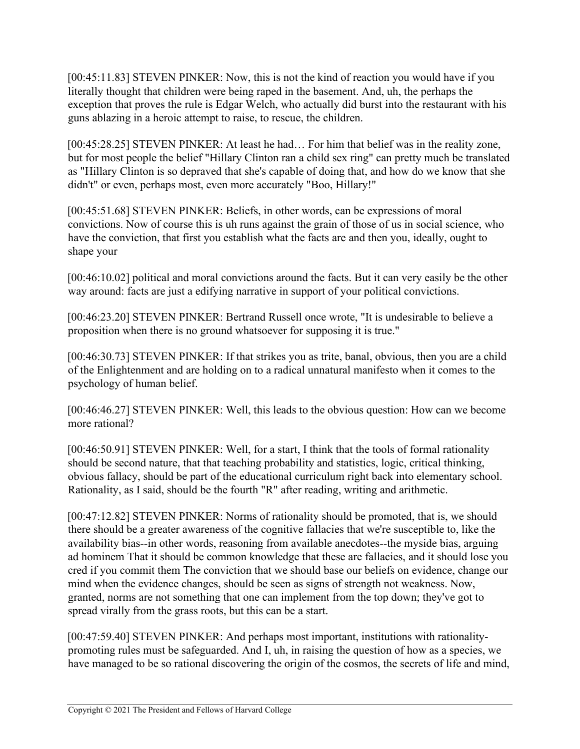[00:45:11.83] STEVEN PINKER: Now, this is not the kind of reaction you would have if you literally thought that children were being raped in the basement. And, uh, the perhaps the exception that proves the rule is Edgar Welch, who actually did burst into the restaurant with his guns ablazing in a heroic attempt to raise, to rescue, the children.

[00:45:28.25] STEVEN PINKER: At least he had... For him that belief was in the reality zone, but for most people the belief "Hillary Clinton ran a child sex ring" can pretty much be translated as "Hillary Clinton is so depraved that she's capable of doing that, and how do we know that she didn't" or even, perhaps most, even more accurately "Boo, Hillary!"

[00:45:51.68] STEVEN PINKER: Beliefs, in other words, can be expressions of moral convictions. Now of course this is uh runs against the grain of those of us in social science, who have the conviction, that first you establish what the facts are and then you, ideally, ought to shape your

[00:46:10.02] political and moral convictions around the facts. But it can very easily be the other way around: facts are just a edifying narrative in support of your political convictions.

[00:46:23.20] STEVEN PINKER: Bertrand Russell once wrote, "It is undesirable to believe a proposition when there is no ground whatsoever for supposing it is true."

[00:46:30.73] STEVEN PINKER: If that strikes you as trite, banal, obvious, then you are a child of the Enlightenment and are holding on to a radical unnatural manifesto when it comes to the psychology of human belief.

[00:46:46.27] STEVEN PINKER: Well, this leads to the obvious question: How can we become more rational?

[00:46:50.91] STEVEN PINKER: Well, for a start, I think that the tools of formal rationality should be second nature, that that teaching probability and statistics, logic, critical thinking, obvious fallacy, should be part of the educational curriculum right back into elementary school. Rationality, as I said, should be the fourth "R" after reading, writing and arithmetic.

[00:47:12.82] STEVEN PINKER: Norms of rationality should be promoted, that is, we should there should be a greater awareness of the cognitive fallacies that we're susceptible to, like the availability bias--in other words, reasoning from available anecdotes--the myside bias, arguing ad hominem That it should be common knowledge that these are fallacies, and it should lose you cred if you commit them The conviction that we should base our beliefs on evidence, change our mind when the evidence changes, should be seen as signs of strength not weakness. Now, granted, norms are not something that one can implement from the top down; they've got to spread virally from the grass roots, but this can be a start.

[00:47:59.40] STEVEN PINKER: And perhaps most important, institutions with rationalitypromoting rules must be safeguarded. And I, uh, in raising the question of how as a species, we have managed to be so rational discovering the origin of the cosmos, the secrets of life and mind,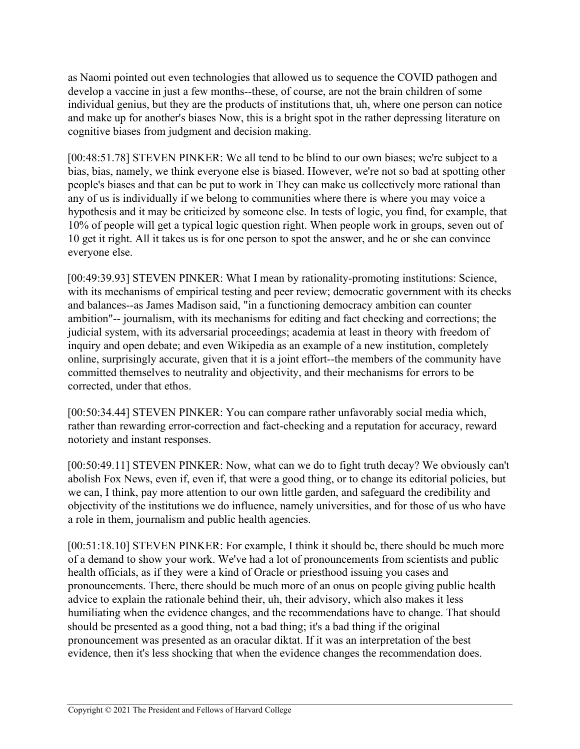as Naomi pointed out even technologies that allowed us to sequence the COVID pathogen and develop a vaccine in just a few months--these, of course, are not the brain children of some individual genius, but they are the products of institutions that, uh, where one person can notice and make up for another's biases Now, this is a bright spot in the rather depressing literature on cognitive biases from judgment and decision making.

[00:48:51.78] STEVEN PINKER: We all tend to be blind to our own biases; we're subject to a bias, bias, namely, we think everyone else is biased. However, we're not so bad at spotting other people's biases and that can be put to work in They can make us collectively more rational than any of us is individually if we belong to communities where there is where you may voice a hypothesis and it may be criticized by someone else. In tests of logic, you find, for example, that 10% of people will get a typical logic question right. When people work in groups, seven out of 10 get it right. All it takes us is for one person to spot the answer, and he or she can convince everyone else.

[00:49:39.93] STEVEN PINKER: What I mean by rationality-promoting institutions: Science, with its mechanisms of empirical testing and peer review; democratic government with its checks and balances--as James Madison said, "in a functioning democracy ambition can counter ambition"-- journalism, with its mechanisms for editing and fact checking and corrections; the judicial system, with its adversarial proceedings; academia at least in theory with freedom of inquiry and open debate; and even Wikipedia as an example of a new institution, completely online, surprisingly accurate, given that it is a joint effort--the members of the community have committed themselves to neutrality and objectivity, and their mechanisms for errors to be corrected, under that ethos.

[00:50:34.44] STEVEN PINKER: You can compare rather unfavorably social media which, rather than rewarding error-correction and fact-checking and a reputation for accuracy, reward notoriety and instant responses.

[00:50:49.11] STEVEN PINKER: Now, what can we do to fight truth decay? We obviously can't abolish Fox News, even if, even if, that were a good thing, or to change its editorial policies, but we can, I think, pay more attention to our own little garden, and safeguard the credibility and objectivity of the institutions we do influence, namely universities, and for those of us who have a role in them, journalism and public health agencies.

[00:51:18.10] STEVEN PINKER: For example, I think it should be, there should be much more of a demand to show your work. We've had a lot of pronouncements from scientists and public health officials, as if they were a kind of Oracle or priesthood issuing you cases and pronouncements. There, there should be much more of an onus on people giving public health advice to explain the rationale behind their, uh, their advisory, which also makes it less humiliating when the evidence changes, and the recommendations have to change. That should should be presented as a good thing, not a bad thing; it's a bad thing if the original pronouncement was presented as an oracular diktat. If it was an interpretation of the best evidence, then it's less shocking that when the evidence changes the recommendation does.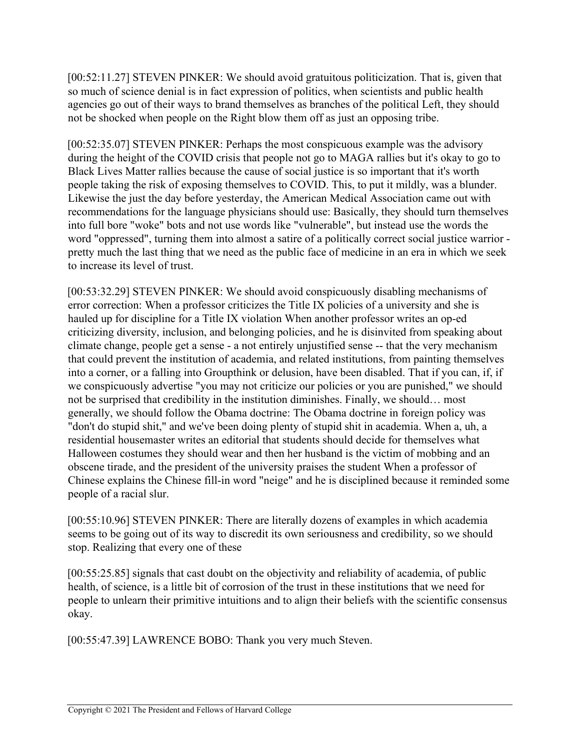[00:52:11.27] STEVEN PINKER: We should avoid gratuitous politicization. That is, given that so much of science denial is in fact expression of politics, when scientists and public health agencies go out of their ways to brand themselves as branches of the political Left, they should not be shocked when people on the Right blow them off as just an opposing tribe.

[00:52:35.07] STEVEN PINKER: Perhaps the most conspicuous example was the advisory during the height of the COVID crisis that people not go to MAGA rallies but it's okay to go to Black Lives Matter rallies because the cause of social justice is so important that it's worth people taking the risk of exposing themselves to COVID. This, to put it mildly, was a blunder. Likewise the just the day before yesterday, the American Medical Association came out with recommendations for the language physicians should use: Basically, they should turn themselves into full bore "woke" bots and not use words like "vulnerable", but instead use the words the word "oppressed", turning them into almost a satire of a politically correct social justice warrior pretty much the last thing that we need as the public face of medicine in an era in which we seek to increase its level of trust.

[00:53:32.29] STEVEN PINKER: We should avoid conspicuously disabling mechanisms of error correction: When a professor criticizes the Title IX policies of a university and she is hauled up for discipline for a Title IX violation When another professor writes an op-ed criticizing diversity, inclusion, and belonging policies, and he is disinvited from speaking about climate change, people get a sense - a not entirely unjustified sense -- that the very mechanism that could prevent the institution of academia, and related institutions, from painting themselves into a corner, or a falling into Groupthink or delusion, have been disabled. That if you can, if, if we conspicuously advertise "you may not criticize our policies or you are punished," we should not be surprised that credibility in the institution diminishes. Finally, we should… most generally, we should follow the Obama doctrine: The Obama doctrine in foreign policy was "don't do stupid shit," and we've been doing plenty of stupid shit in academia. When a, uh, a residential housemaster writes an editorial that students should decide for themselves what Halloween costumes they should wear and then her husband is the victim of mobbing and an obscene tirade, and the president of the university praises the student When a professor of Chinese explains the Chinese fill-in word "neige" and he is disciplined because it reminded some people of a racial slur.

[00:55:10.96] STEVEN PINKER: There are literally dozens of examples in which academia seems to be going out of its way to discredit its own seriousness and credibility, so we should stop. Realizing that every one of these

[00:55:25.85] signals that cast doubt on the objectivity and reliability of academia, of public health, of science, is a little bit of corrosion of the trust in these institutions that we need for people to unlearn their primitive intuitions and to align their beliefs with the scientific consensus okay.

[00:55:47.39] LAWRENCE BOBO: Thank you very much Steven.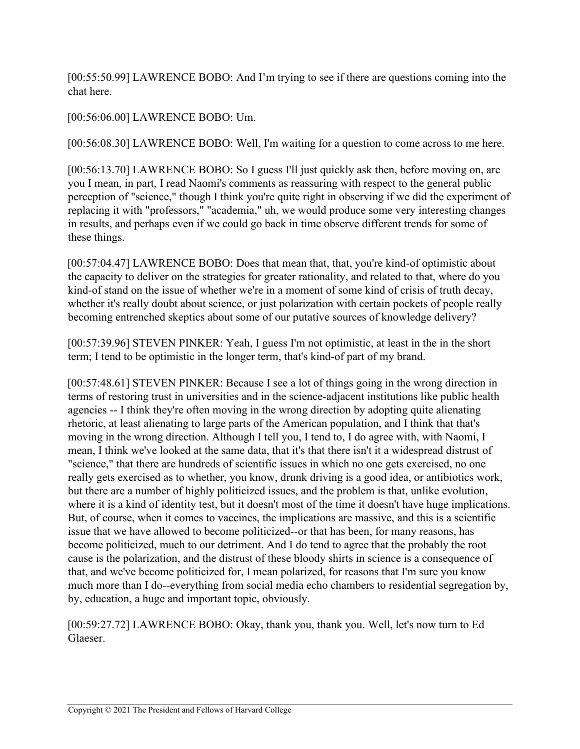[00:55:50.99] LAWRENCE BOBO: And I'm trying to see if there are questions coming into the chat here.

## [00:56:06.00] LAWRENCE BOBO: Um.

[00:56:08.30] LAWRENCE BOBO: Well, I'm waiting for a question to come across to me here.

[00:56:13.70] LAWRENCE BOBO: So I guess I'll just quickly ask then, before moving on, are you I mean, in part, I read Naomi's comments as reassuring with respect to the general public perception of "science," though I think you're quite right in observing if we did the experiment of replacing it with "professors," "academia," uh, we would produce some very interesting changes in results, and perhaps even if we could go back in time observe different trends for some of these things.

[00:57:04.47] LAWRENCE BOBO: Does that mean that, that, you're kind-of optimistic about the capacity to deliver on the strategies for greater rationality, and related to that, where do you kind-of stand on the issue of whether we're in a moment of some kind of crisis of truth decay, whether it's really doubt about science, or just polarization with certain pockets of people really becoming entrenched skeptics about some of our putative sources of knowledge delivery?

[00:57:39.96] STEVEN PINKER: Yeah, I guess I'm not optimistic, at least in the in the short term; I tend to be optimistic in the longer term, that's kind-of part of my brand.

[00:57:48.61] STEVEN PINKER: Because I see a lot of things going in the wrong direction in terms of restoring trust in universities and in the science-adjacent institutions like public health agencies -- I think they're often moving in the wrong direction by adopting quite alienating rhetoric, at least alienating to large parts of the American population, and I think that that's moving in the wrong direction. Although I tell you, I tend to, I do agree with, with Naomi, I mean, I think we've looked at the same data, that it's that there isn't it a widespread distrust of "science," that there are hundreds of scientific issues in which no one gets exercised, no one really gets exercised as to whether, you know, drunk driving is a good idea, or antibiotics work, but there are a number of highly politicized issues, and the problem is that, unlike evolution, where it is a kind of identity test, but it doesn't most of the time it doesn't have huge implications. But, of course, when it comes to vaccines, the implications are massive, and this is a scientific issue that we have allowed to become politicized--or that has been, for many reasons, has become politicized, much to our detriment. And I do tend to agree that the probably the root cause is the polarization, and the distrust of these bloody shirts in science is a consequence of that, and we've become politicized for, I mean polarized, for reasons that I'm sure you know much more than I do--everything from social media echo chambers to residential segregation by, by, education, a huge and important topic, obviously.

[00:59:27.72] LAWRENCE BOBO: Okay, thank you, thank you. Well, let's now turn to Ed Glaeser.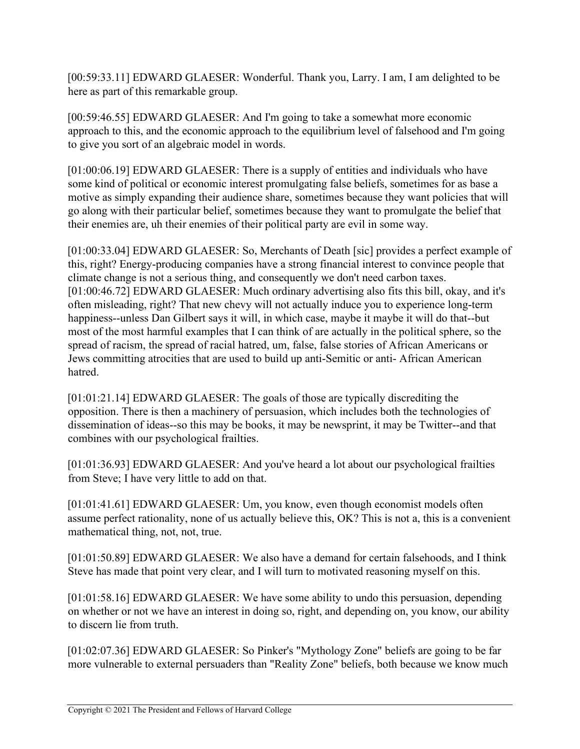[00:59:33.11] EDWARD GLAESER: Wonderful. Thank you, Larry. I am, I am delighted to be here as part of this remarkable group.

[00:59:46.55] EDWARD GLAESER: And I'm going to take a somewhat more economic approach to this, and the economic approach to the equilibrium level of falsehood and I'm going to give you sort of an algebraic model in words.

[01:00:06.19] EDWARD GLAESER: There is a supply of entities and individuals who have some kind of political or economic interest promulgating false beliefs, sometimes for as base a motive as simply expanding their audience share, sometimes because they want policies that will go along with their particular belief, sometimes because they want to promulgate the belief that their enemies are, uh their enemies of their political party are evil in some way.

[01:00:33.04] EDWARD GLAESER: So, Merchants of Death [sic] provides a perfect example of this, right? Energy-producing companies have a strong financial interest to convince people that climate change is not a serious thing, and consequently we don't need carbon taxes. [01:00:46.72] EDWARD GLAESER: Much ordinary advertising also fits this bill, okay, and it's often misleading, right? That new chevy will not actually induce you to experience long-term happiness--unless Dan Gilbert says it will, in which case, maybe it maybe it will do that--but most of the most harmful examples that I can think of are actually in the political sphere, so the spread of racism, the spread of racial hatred, um, false, false stories of African Americans or Jews committing atrocities that are used to build up anti-Semitic or anti- African American hatred.

[01:01:21.14] EDWARD GLAESER: The goals of those are typically discrediting the opposition. There is then a machinery of persuasion, which includes both the technologies of dissemination of ideas--so this may be books, it may be newsprint, it may be Twitter--and that combines with our psychological frailties.

[01:01:36.93] EDWARD GLAESER: And you've heard a lot about our psychological frailties from Steve; I have very little to add on that.

[01:01:41.61] EDWARD GLAESER: Um, you know, even though economist models often assume perfect rationality, none of us actually believe this, OK? This is not a, this is a convenient mathematical thing, not, not, true.

[01:01:50.89] EDWARD GLAESER: We also have a demand for certain falsehoods, and I think Steve has made that point very clear, and I will turn to motivated reasoning myself on this.

[01:01:58.16] EDWARD GLAESER: We have some ability to undo this persuasion, depending on whether or not we have an interest in doing so, right, and depending on, you know, our ability to discern lie from truth.

[01:02:07.36] EDWARD GLAESER: So Pinker's "Mythology Zone" beliefs are going to be far more vulnerable to external persuaders than "Reality Zone" beliefs, both because we know much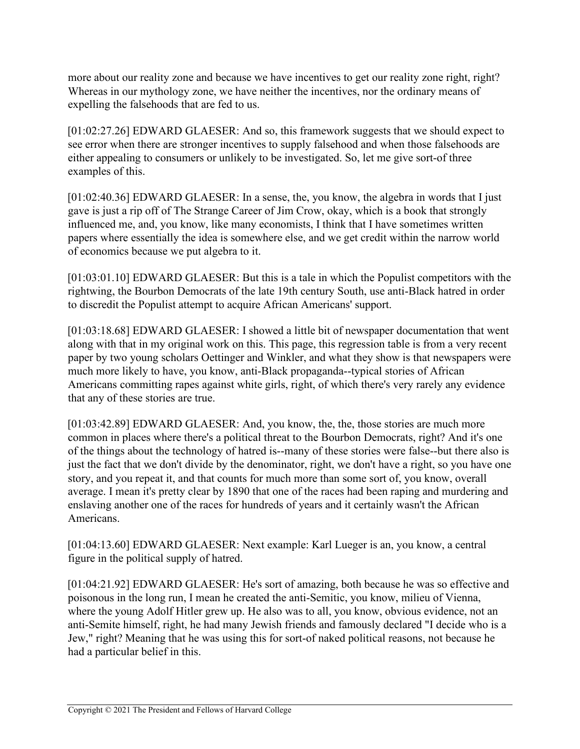more about our reality zone and because we have incentives to get our reality zone right, right? Whereas in our mythology zone, we have neither the incentives, nor the ordinary means of expelling the falsehoods that are fed to us.

[01:02:27.26] EDWARD GLAESER: And so, this framework suggests that we should expect to see error when there are stronger incentives to supply falsehood and when those falsehoods are either appealing to consumers or unlikely to be investigated. So, let me give sort-of three examples of this.

[01:02:40.36] EDWARD GLAESER: In a sense, the, you know, the algebra in words that I just gave is just a rip off of The Strange Career of Jim Crow, okay, which is a book that strongly influenced me, and, you know, like many economists, I think that I have sometimes written papers where essentially the idea is somewhere else, and we get credit within the narrow world of economics because we put algebra to it.

[01:03:01.10] EDWARD GLAESER: But this is a tale in which the Populist competitors with the rightwing, the Bourbon Democrats of the late 19th century South, use anti-Black hatred in order to discredit the Populist attempt to acquire African Americans' support.

[01:03:18.68] EDWARD GLAESER: I showed a little bit of newspaper documentation that went along with that in my original work on this. This page, this regression table is from a very recent paper by two young scholars Oettinger and Winkler, and what they show is that newspapers were much more likely to have, you know, anti-Black propaganda--typical stories of African Americans committing rapes against white girls, right, of which there's very rarely any evidence that any of these stories are true.

[01:03:42.89] EDWARD GLAESER: And, you know, the, the, those stories are much more common in places where there's a political threat to the Bourbon Democrats, right? And it's one of the things about the technology of hatred is--many of these stories were false--but there also is just the fact that we don't divide by the denominator, right, we don't have a right, so you have one story, and you repeat it, and that counts for much more than some sort of, you know, overall average. I mean it's pretty clear by 1890 that one of the races had been raping and murdering and enslaving another one of the races for hundreds of years and it certainly wasn't the African Americans.

[01:04:13.60] EDWARD GLAESER: Next example: Karl Lueger is an, you know, a central figure in the political supply of hatred.

[01:04:21.92] EDWARD GLAESER: He's sort of amazing, both because he was so effective and poisonous in the long run, I mean he created the anti-Semitic, you know, milieu of Vienna, where the young Adolf Hitler grew up. He also was to all, you know, obvious evidence, not an anti-Semite himself, right, he had many Jewish friends and famously declared "I decide who is a Jew," right? Meaning that he was using this for sort-of naked political reasons, not because he had a particular belief in this.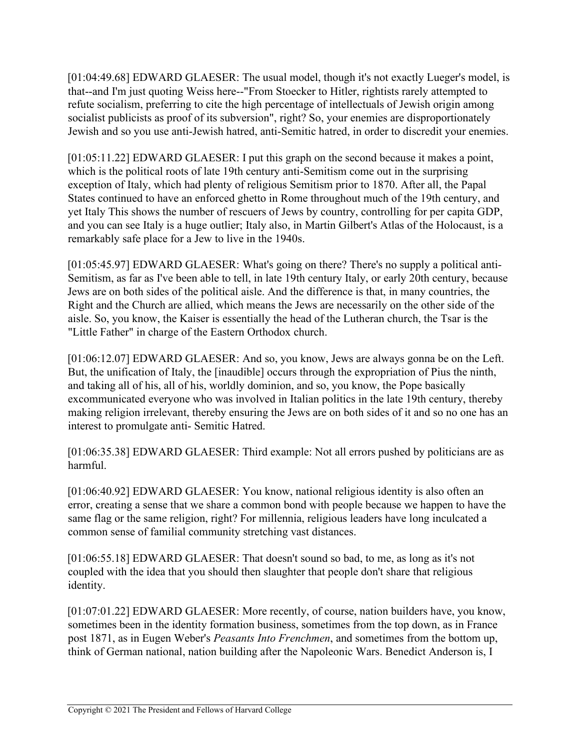[01:04:49.68] EDWARD GLAESER: The usual model, though it's not exactly Lueger's model, is that--and I'm just quoting Weiss here--"From Stoecker to Hitler, rightists rarely attempted to refute socialism, preferring to cite the high percentage of intellectuals of Jewish origin among socialist publicists as proof of its subversion", right? So, your enemies are disproportionately Jewish and so you use anti-Jewish hatred, anti-Semitic hatred, in order to discredit your enemies.

[01:05:11.22] EDWARD GLAESER: I put this graph on the second because it makes a point, which is the political roots of late 19th century anti-Semitism come out in the surprising exception of Italy, which had plenty of religious Semitism prior to 1870. After all, the Papal States continued to have an enforced ghetto in Rome throughout much of the 19th century, and yet Italy This shows the number of rescuers of Jews by country, controlling for per capita GDP, and you can see Italy is a huge outlier; Italy also, in Martin Gilbert's Atlas of the Holocaust, is a remarkably safe place for a Jew to live in the 1940s.

[01:05:45.97] EDWARD GLAESER: What's going on there? There's no supply a political anti-Semitism, as far as I've been able to tell, in late 19th century Italy, or early 20th century, because Jews are on both sides of the political aisle. And the difference is that, in many countries, the Right and the Church are allied, which means the Jews are necessarily on the other side of the aisle. So, you know, the Kaiser is essentially the head of the Lutheran church, the Tsar is the "Little Father" in charge of the Eastern Orthodox church.

[01:06:12.07] EDWARD GLAESER: And so, you know, Jews are always gonna be on the Left. But, the unification of Italy, the [inaudible] occurs through the expropriation of Pius the ninth, and taking all of his, all of his, worldly dominion, and so, you know, the Pope basically excommunicated everyone who was involved in Italian politics in the late 19th century, thereby making religion irrelevant, thereby ensuring the Jews are on both sides of it and so no one has an interest to promulgate anti- Semitic Hatred.

[01:06:35.38] EDWARD GLAESER: Third example: Not all errors pushed by politicians are as harmful.

[01:06:40.92] EDWARD GLAESER: You know, national religious identity is also often an error, creating a sense that we share a common bond with people because we happen to have the same flag or the same religion, right? For millennia, religious leaders have long inculcated a common sense of familial community stretching vast distances.

[01:06:55.18] EDWARD GLAESER: That doesn't sound so bad, to me, as long as it's not coupled with the idea that you should then slaughter that people don't share that religious identity.

[01:07:01.22] EDWARD GLAESER: More recently, of course, nation builders have, you know, sometimes been in the identity formation business, sometimes from the top down, as in France post 1871, as in Eugen Weber's *Peasants Into Frenchmen*, and sometimes from the bottom up, think of German national, nation building after the Napoleonic Wars. Benedict Anderson is, I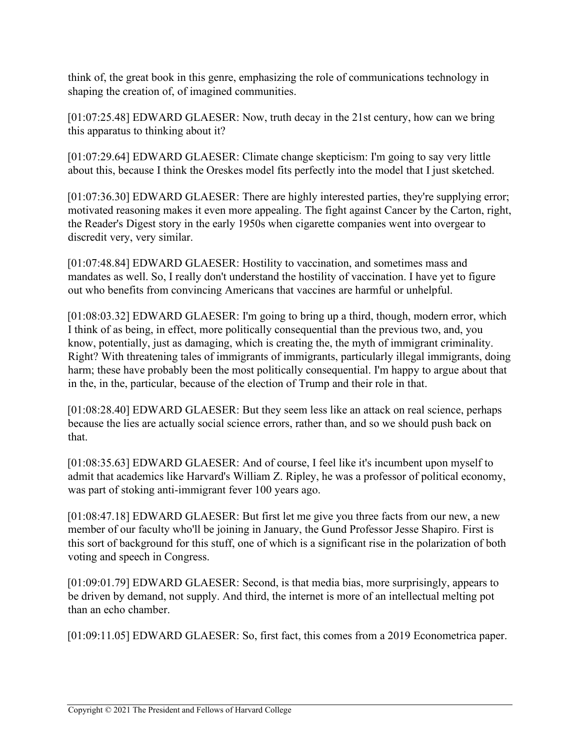think of, the great book in this genre, emphasizing the role of communications technology in shaping the creation of, of imagined communities.

[01:07:25.48] EDWARD GLAESER: Now, truth decay in the 21st century, how can we bring this apparatus to thinking about it?

[01:07:29.64] EDWARD GLAESER: Climate change skepticism: I'm going to say very little about this, because I think the Oreskes model fits perfectly into the model that I just sketched.

[01:07:36.30] EDWARD GLAESER: There are highly interested parties, they're supplying error; motivated reasoning makes it even more appealing. The fight against Cancer by the Carton, right, the Reader's Digest story in the early 1950s when cigarette companies went into overgear to discredit very, very similar.

[01:07:48.84] EDWARD GLAESER: Hostility to vaccination, and sometimes mass and mandates as well. So, I really don't understand the hostility of vaccination. I have yet to figure out who benefits from convincing Americans that vaccines are harmful or unhelpful.

[01:08:03.32] EDWARD GLAESER: I'm going to bring up a third, though, modern error, which I think of as being, in effect, more politically consequential than the previous two, and, you know, potentially, just as damaging, which is creating the, the myth of immigrant criminality. Right? With threatening tales of immigrants of immigrants, particularly illegal immigrants, doing harm; these have probably been the most politically consequential. I'm happy to argue about that in the, in the, particular, because of the election of Trump and their role in that.

[01:08:28.40] EDWARD GLAESER: But they seem less like an attack on real science, perhaps because the lies are actually social science errors, rather than, and so we should push back on that.

[01:08:35.63] EDWARD GLAESER: And of course, I feel like it's incumbent upon myself to admit that academics like Harvard's William Z. Ripley, he was a professor of political economy, was part of stoking anti-immigrant fever 100 years ago.

[01:08:47.18] EDWARD GLAESER: But first let me give you three facts from our new, a new member of our faculty who'll be joining in January, the Gund Professor Jesse Shapiro. First is this sort of background for this stuff, one of which is a significant rise in the polarization of both voting and speech in Congress.

[01:09:01.79] EDWARD GLAESER: Second, is that media bias, more surprisingly, appears to be driven by demand, not supply. And third, the internet is more of an intellectual melting pot than an echo chamber.

[01:09:11.05] EDWARD GLAESER: So, first fact, this comes from a 2019 Econometrica paper.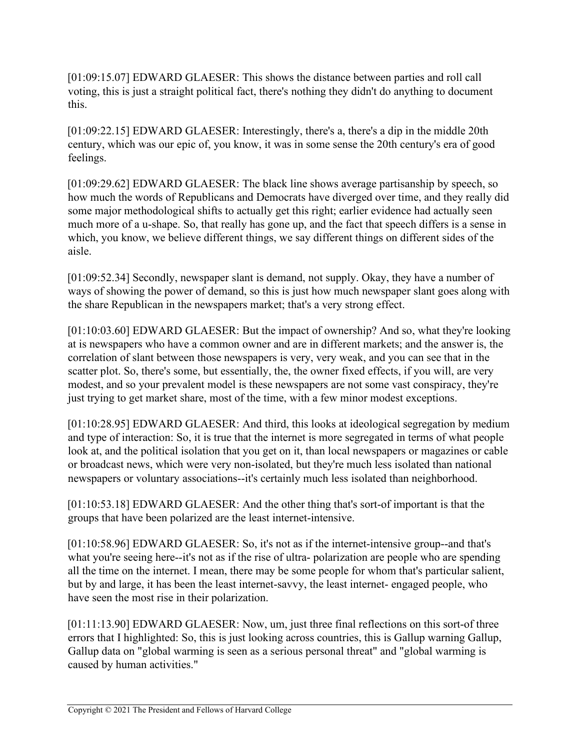[01:09:15.07] EDWARD GLAESER: This shows the distance between parties and roll call voting, this is just a straight political fact, there's nothing they didn't do anything to document this.

[01:09:22.15] EDWARD GLAESER: Interestingly, there's a, there's a dip in the middle 20th century, which was our epic of, you know, it was in some sense the 20th century's era of good feelings.

[01:09:29.62] EDWARD GLAESER: The black line shows average partisanship by speech, so how much the words of Republicans and Democrats have diverged over time, and they really did some major methodological shifts to actually get this right; earlier evidence had actually seen much more of a u-shape. So, that really has gone up, and the fact that speech differs is a sense in which, you know, we believe different things, we say different things on different sides of the aisle.

[01:09:52.34] Secondly, newspaper slant is demand, not supply. Okay, they have a number of ways of showing the power of demand, so this is just how much newspaper slant goes along with the share Republican in the newspapers market; that's a very strong effect.

[01:10:03.60] EDWARD GLAESER: But the impact of ownership? And so, what they're looking at is newspapers who have a common owner and are in different markets; and the answer is, the correlation of slant between those newspapers is very, very weak, and you can see that in the scatter plot. So, there's some, but essentially, the, the owner fixed effects, if you will, are very modest, and so your prevalent model is these newspapers are not some vast conspiracy, they're just trying to get market share, most of the time, with a few minor modest exceptions.

[01:10:28.95] EDWARD GLAESER: And third, this looks at ideological segregation by medium and type of interaction: So, it is true that the internet is more segregated in terms of what people look at, and the political isolation that you get on it, than local newspapers or magazines or cable or broadcast news, which were very non-isolated, but they're much less isolated than national newspapers or voluntary associations--it's certainly much less isolated than neighborhood.

[01:10:53.18] EDWARD GLAESER: And the other thing that's sort-of important is that the groups that have been polarized are the least internet-intensive.

[01:10:58.96] EDWARD GLAESER: So, it's not as if the internet-intensive group--and that's what you're seeing here--it's not as if the rise of ultra- polarization are people who are spending all the time on the internet. I mean, there may be some people for whom that's particular salient, but by and large, it has been the least internet-savvy, the least internet- engaged people, who have seen the most rise in their polarization.

[01:11:13.90] EDWARD GLAESER: Now, um, just three final reflections on this sort-of three errors that I highlighted: So, this is just looking across countries, this is Gallup warning Gallup, Gallup data on "global warming is seen as a serious personal threat" and "global warming is caused by human activities."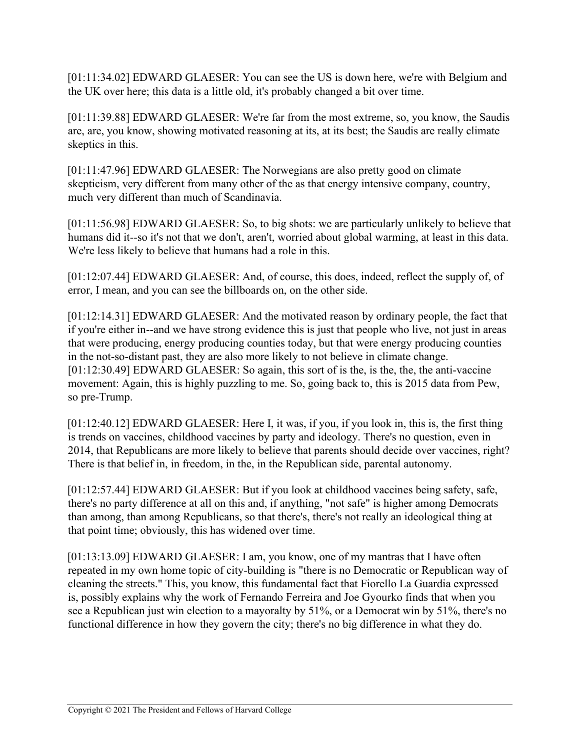[01:11:34.02] EDWARD GLAESER: You can see the US is down here, we're with Belgium and the UK over here; this data is a little old, it's probably changed a bit over time.

[01:11:39.88] EDWARD GLAESER: We're far from the most extreme, so, you know, the Saudis are, are, you know, showing motivated reasoning at its, at its best; the Saudis are really climate skeptics in this.

[01:11:47.96] EDWARD GLAESER: The Norwegians are also pretty good on climate skepticism, very different from many other of the as that energy intensive company, country, much very different than much of Scandinavia.

[01:11:56.98] EDWARD GLAESER: So, to big shots: we are particularly unlikely to believe that humans did it--so it's not that we don't, aren't, worried about global warming, at least in this data. We're less likely to believe that humans had a role in this.

[01:12:07.44] EDWARD GLAESER: And, of course, this does, indeed, reflect the supply of, of error, I mean, and you can see the billboards on, on the other side.

[01:12:14.31] EDWARD GLAESER: And the motivated reason by ordinary people, the fact that if you're either in--and we have strong evidence this is just that people who live, not just in areas that were producing, energy producing counties today, but that were energy producing counties in the not-so-distant past, they are also more likely to not believe in climate change. [01:12:30.49] EDWARD GLAESER: So again, this sort of is the, is the, the, the anti-vaccine movement: Again, this is highly puzzling to me. So, going back to, this is 2015 data from Pew, so pre-Trump.

[01:12:40.12] EDWARD GLAESER: Here I, it was, if you, if you look in, this is, the first thing is trends on vaccines, childhood vaccines by party and ideology. There's no question, even in 2014, that Republicans are more likely to believe that parents should decide over vaccines, right? There is that belief in, in freedom, in the, in the Republican side, parental autonomy.

[01:12:57.44] EDWARD GLAESER: But if you look at childhood vaccines being safety, safe, there's no party difference at all on this and, if anything, "not safe" is higher among Democrats than among, than among Republicans, so that there's, there's not really an ideological thing at that point time; obviously, this has widened over time.

[01:13:13.09] EDWARD GLAESER: I am, you know, one of my mantras that I have often repeated in my own home topic of city-building is "there is no Democratic or Republican way of cleaning the streets." This, you know, this fundamental fact that Fiorello La Guardia expressed is, possibly explains why the work of Fernando Ferreira and Joe Gyourko finds that when you see a Republican just win election to a mayoralty by 51%, or a Democrat win by 51%, there's no functional difference in how they govern the city; there's no big difference in what they do.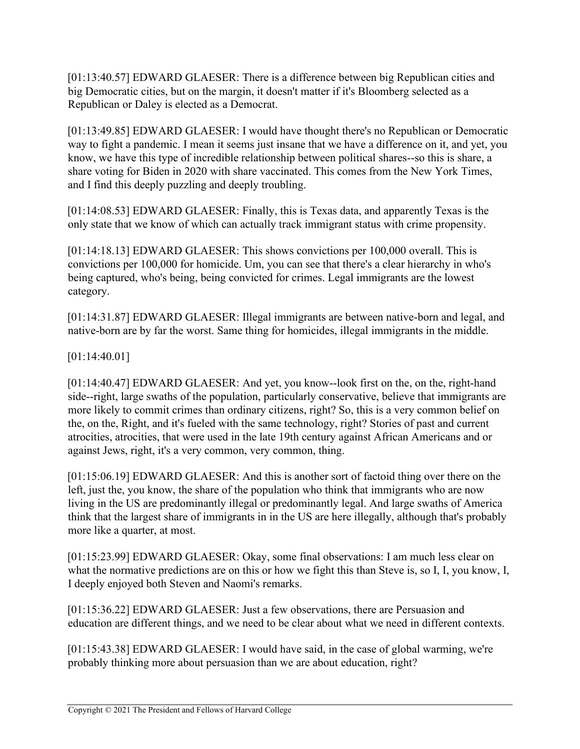[01:13:40.57] EDWARD GLAESER: There is a difference between big Republican cities and big Democratic cities, but on the margin, it doesn't matter if it's Bloomberg selected as a Republican or Daley is elected as a Democrat.

[01:13:49.85] EDWARD GLAESER: I would have thought there's no Republican or Democratic way to fight a pandemic. I mean it seems just insane that we have a difference on it, and yet, you know, we have this type of incredible relationship between political shares--so this is share, a share voting for Biden in 2020 with share vaccinated. This comes from the New York Times, and I find this deeply puzzling and deeply troubling.

[01:14:08.53] EDWARD GLAESER: Finally, this is Texas data, and apparently Texas is the only state that we know of which can actually track immigrant status with crime propensity.

[01:14:18.13] EDWARD GLAESER: This shows convictions per 100,000 overall. This is convictions per 100,000 for homicide. Um, you can see that there's a clear hierarchy in who's being captured, who's being, being convicted for crimes. Legal immigrants are the lowest category.

[01:14:31.87] EDWARD GLAESER: Illegal immigrants are between native-born and legal, and native-born are by far the worst. Same thing for homicides, illegal immigrants in the middle.

[01:14:40.01]

[01:14:40.47] EDWARD GLAESER: And yet, you know--look first on the, on the, right-hand side--right, large swaths of the population, particularly conservative, believe that immigrants are more likely to commit crimes than ordinary citizens, right? So, this is a very common belief on the, on the, Right, and it's fueled with the same technology, right? Stories of past and current atrocities, atrocities, that were used in the late 19th century against African Americans and or against Jews, right, it's a very common, very common, thing.

[01:15:06.19] EDWARD GLAESER: And this is another sort of factoid thing over there on the left, just the, you know, the share of the population who think that immigrants who are now living in the US are predominantly illegal or predominantly legal. And large swaths of America think that the largest share of immigrants in in the US are here illegally, although that's probably more like a quarter, at most.

[01:15:23.99] EDWARD GLAESER: Okay, some final observations: I am much less clear on what the normative predictions are on this or how we fight this than Steve is, so I, I, you know, I, I deeply enjoyed both Steven and Naomi's remarks.

[01:15:36.22] EDWARD GLAESER: Just a few observations, there are Persuasion and education are different things, and we need to be clear about what we need in different contexts.

[01:15:43.38] EDWARD GLAESER: I would have said, in the case of global warming, we're probably thinking more about persuasion than we are about education, right?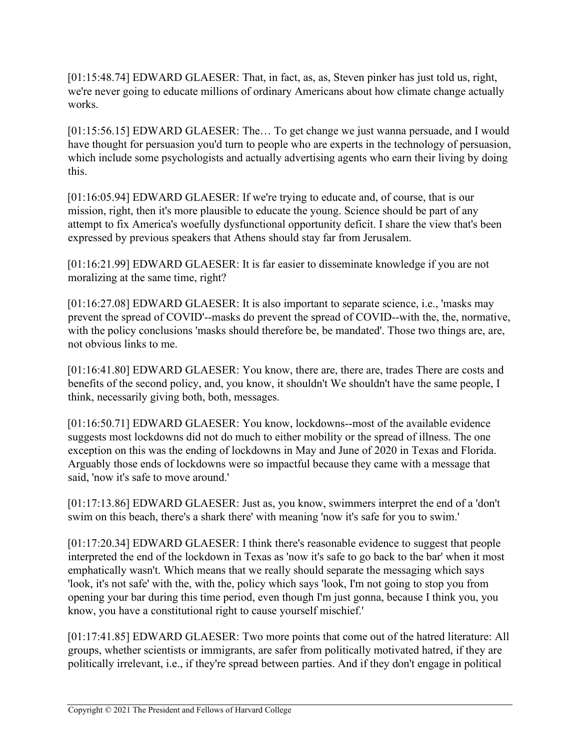[01:15:48.74] EDWARD GLAESER: That, in fact, as, as, Steven pinker has just told us, right, we're never going to educate millions of ordinary Americans about how climate change actually works.

[01:15:56.15] EDWARD GLAESER: The… To get change we just wanna persuade, and I would have thought for persuasion you'd turn to people who are experts in the technology of persuasion, which include some psychologists and actually advertising agents who earn their living by doing this.

[01:16:05.94] EDWARD GLAESER: If we're trying to educate and, of course, that is our mission, right, then it's more plausible to educate the young. Science should be part of any attempt to fix America's woefully dysfunctional opportunity deficit. I share the view that's been expressed by previous speakers that Athens should stay far from Jerusalem.

[01:16:21.99] EDWARD GLAESER: It is far easier to disseminate knowledge if you are not moralizing at the same time, right?

[01:16:27.08] EDWARD GLAESER: It is also important to separate science, i.e., 'masks may prevent the spread of COVID'--masks do prevent the spread of COVID--with the, the, normative, with the policy conclusions 'masks should therefore be, be mandated'. Those two things are, are, not obvious links to me.

[01:16:41.80] EDWARD GLAESER: You know, there are, there are, trades There are costs and benefits of the second policy, and, you know, it shouldn't We shouldn't have the same people, I think, necessarily giving both, both, messages.

[01:16:50.71] EDWARD GLAESER: You know, lockdowns--most of the available evidence suggests most lockdowns did not do much to either mobility or the spread of illness. The one exception on this was the ending of lockdowns in May and June of 2020 in Texas and Florida. Arguably those ends of lockdowns were so impactful because they came with a message that said, 'now it's safe to move around.'

[01:17:13.86] EDWARD GLAESER: Just as, you know, swimmers interpret the end of a 'don't swim on this beach, there's a shark there' with meaning 'now it's safe for you to swim.'

[01:17:20.34] EDWARD GLAESER: I think there's reasonable evidence to suggest that people interpreted the end of the lockdown in Texas as 'now it's safe to go back to the bar' when it most emphatically wasn't. Which means that we really should separate the messaging which says 'look, it's not safe' with the, with the, policy which says 'look, I'm not going to stop you from opening your bar during this time period, even though I'm just gonna, because I think you, you know, you have a constitutional right to cause yourself mischief.'

[01:17:41.85] EDWARD GLAESER: Two more points that come out of the hatred literature: All groups, whether scientists or immigrants, are safer from politically motivated hatred, if they are politically irrelevant, i.e., if they're spread between parties. And if they don't engage in political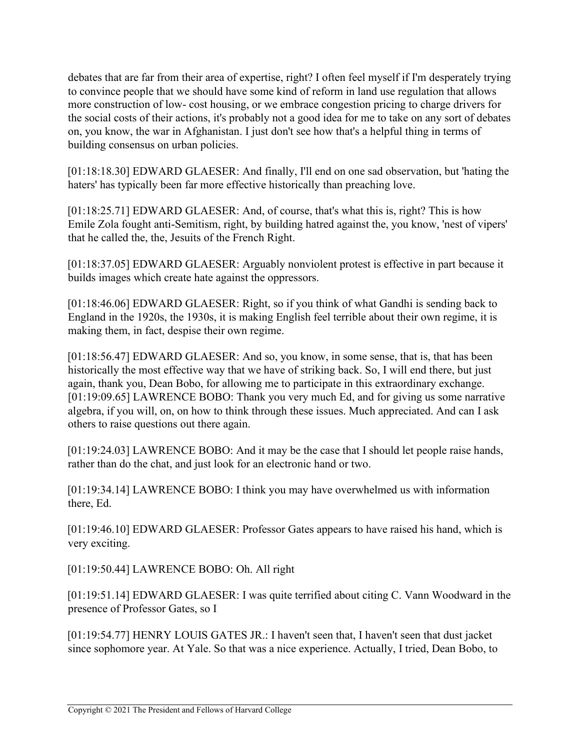debates that are far from their area of expertise, right? I often feel myself if I'm desperately trying to convince people that we should have some kind of reform in land use regulation that allows more construction of low- cost housing, or we embrace congestion pricing to charge drivers for the social costs of their actions, it's probably not a good idea for me to take on any sort of debates on, you know, the war in Afghanistan. I just don't see how that's a helpful thing in terms of building consensus on urban policies.

[01:18:18.30] EDWARD GLAESER: And finally, I'll end on one sad observation, but 'hating the haters' has typically been far more effective historically than preaching love.

[01:18:25.71] EDWARD GLAESER: And, of course, that's what this is, right? This is how Emile Zola fought anti-Semitism, right, by building hatred against the, you know, 'nest of vipers' that he called the, the, Jesuits of the French Right.

[01:18:37.05] EDWARD GLAESER: Arguably nonviolent protest is effective in part because it builds images which create hate against the oppressors.

[01:18:46.06] EDWARD GLAESER: Right, so if you think of what Gandhi is sending back to England in the 1920s, the 1930s, it is making English feel terrible about their own regime, it is making them, in fact, despise their own regime.

[01:18:56.47] EDWARD GLAESER: And so, you know, in some sense, that is, that has been historically the most effective way that we have of striking back. So, I will end there, but just again, thank you, Dean Bobo, for allowing me to participate in this extraordinary exchange. [01:19:09.65] LAWRENCE BOBO: Thank you very much Ed, and for giving us some narrative algebra, if you will, on, on how to think through these issues. Much appreciated. And can I ask others to raise questions out there again.

[01:19:24.03] LAWRENCE BOBO: And it may be the case that I should let people raise hands, rather than do the chat, and just look for an electronic hand or two.

[01:19:34.14] LAWRENCE BOBO: I think you may have overwhelmed us with information there, Ed.

[01:19:46.10] EDWARD GLAESER: Professor Gates appears to have raised his hand, which is very exciting.

[01:19:50.44] LAWRENCE BOBO: Oh. All right

[01:19:54.77] HENRY LOUIS GATES JR.: I haven't seen that, I haven't seen that dust jacket since sophomore year. At Yale. So that was a nice experience. Actually, I tried, Dean Bobo, to

<sup>[01:19:51.14]</sup> EDWARD GLAESER: I was quite terrified about citing C. Vann Woodward in the presence of Professor Gates, so I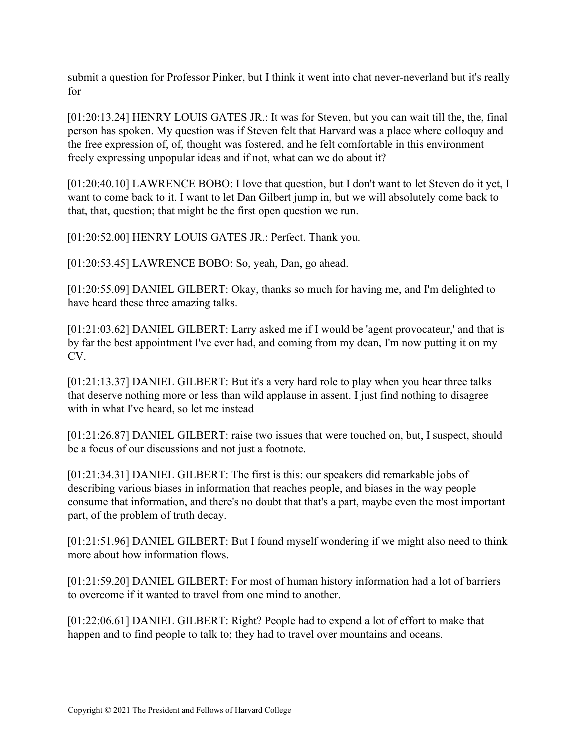submit a question for Professor Pinker, but I think it went into chat never-neverland but it's really for

[01:20:13.24] HENRY LOUIS GATES JR.: It was for Steven, but you can wait till the, the, final person has spoken. My question was if Steven felt that Harvard was a place where colloquy and the free expression of, of, thought was fostered, and he felt comfortable in this environment freely expressing unpopular ideas and if not, what can we do about it?

[01:20:40.10] LAWRENCE BOBO: I love that question, but I don't want to let Steven do it yet, I want to come back to it. I want to let Dan Gilbert jump in, but we will absolutely come back to that, that, question; that might be the first open question we run.

[01:20:52.00] HENRY LOUIS GATES JR.: Perfect. Thank you.

[01:20:53.45] LAWRENCE BOBO: So, yeah, Dan, go ahead.

[01:20:55.09] DANIEL GILBERT: Okay, thanks so much for having me, and I'm delighted to have heard these three amazing talks.

[01:21:03.62] DANIEL GILBERT: Larry asked me if I would be 'agent provocateur,' and that is by far the best appointment I've ever had, and coming from my dean, I'm now putting it on my CV.

[01:21:13.37] DANIEL GILBERT: But it's a very hard role to play when you hear three talks that deserve nothing more or less than wild applause in assent. I just find nothing to disagree with in what I've heard, so let me instead

[01:21:26.87] DANIEL GILBERT: raise two issues that were touched on, but, I suspect, should be a focus of our discussions and not just a footnote.

[01:21:34.31] DANIEL GILBERT: The first is this: our speakers did remarkable jobs of describing various biases in information that reaches people, and biases in the way people consume that information, and there's no doubt that that's a part, maybe even the most important part, of the problem of truth decay.

[01:21:51.96] DANIEL GILBERT: But I found myself wondering if we might also need to think more about how information flows.

[01:21:59.20] DANIEL GILBERT: For most of human history information had a lot of barriers to overcome if it wanted to travel from one mind to another.

[01:22:06.61] DANIEL GILBERT: Right? People had to expend a lot of effort to make that happen and to find people to talk to; they had to travel over mountains and oceans.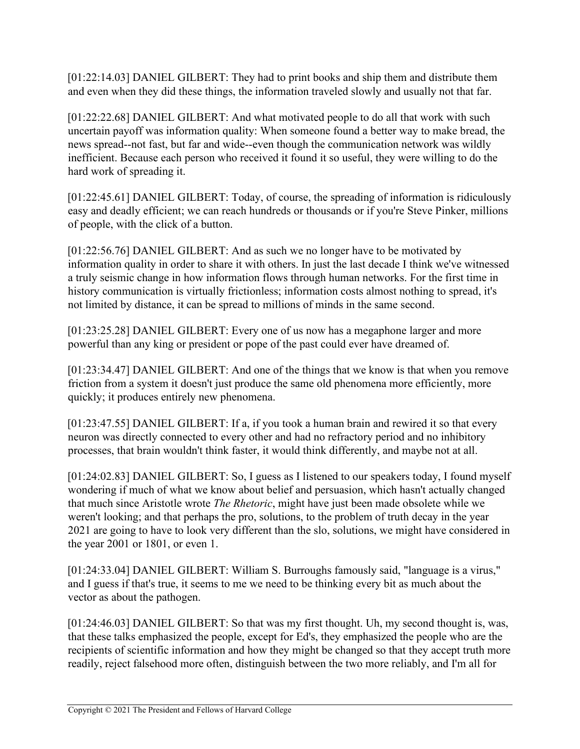[01:22:14.03] DANIEL GILBERT: They had to print books and ship them and distribute them and even when they did these things, the information traveled slowly and usually not that far.

[01:22:22.68] DANIEL GILBERT: And what motivated people to do all that work with such uncertain payoff was information quality: When someone found a better way to make bread, the news spread--not fast, but far and wide--even though the communication network was wildly inefficient. Because each person who received it found it so useful, they were willing to do the hard work of spreading it.

[01:22:45.61] DANIEL GILBERT: Today, of course, the spreading of information is ridiculously easy and deadly efficient; we can reach hundreds or thousands or if you're Steve Pinker, millions of people, with the click of a button.

[01:22:56.76] DANIEL GILBERT: And as such we no longer have to be motivated by information quality in order to share it with others. In just the last decade I think we've witnessed a truly seismic change in how information flows through human networks. For the first time in history communication is virtually frictionless; information costs almost nothing to spread, it's not limited by distance, it can be spread to millions of minds in the same second.

[01:23:25.28] DANIEL GILBERT: Every one of us now has a megaphone larger and more powerful than any king or president or pope of the past could ever have dreamed of.

[01:23:34.47] DANIEL GILBERT: And one of the things that we know is that when you remove friction from a system it doesn't just produce the same old phenomena more efficiently, more quickly; it produces entirely new phenomena.

[01:23:47.55] DANIEL GILBERT: If a, if you took a human brain and rewired it so that every neuron was directly connected to every other and had no refractory period and no inhibitory processes, that brain wouldn't think faster, it would think differently, and maybe not at all.

[01:24:02.83] DANIEL GILBERT: So, I guess as I listened to our speakers today, I found myself wondering if much of what we know about belief and persuasion, which hasn't actually changed that much since Aristotle wrote *The Rhetoric*, might have just been made obsolete while we weren't looking; and that perhaps the pro, solutions, to the problem of truth decay in the year 2021 are going to have to look very different than the slo, solutions, we might have considered in the year 2001 or 1801, or even 1.

[01:24:33.04] DANIEL GILBERT: William S. Burroughs famously said, "language is a virus," and I guess if that's true, it seems to me we need to be thinking every bit as much about the vector as about the pathogen.

[01:24:46.03] DANIEL GILBERT: So that was my first thought. Uh, my second thought is, was, that these talks emphasized the people, except for Ed's, they emphasized the people who are the recipients of scientific information and how they might be changed so that they accept truth more readily, reject falsehood more often, distinguish between the two more reliably, and I'm all for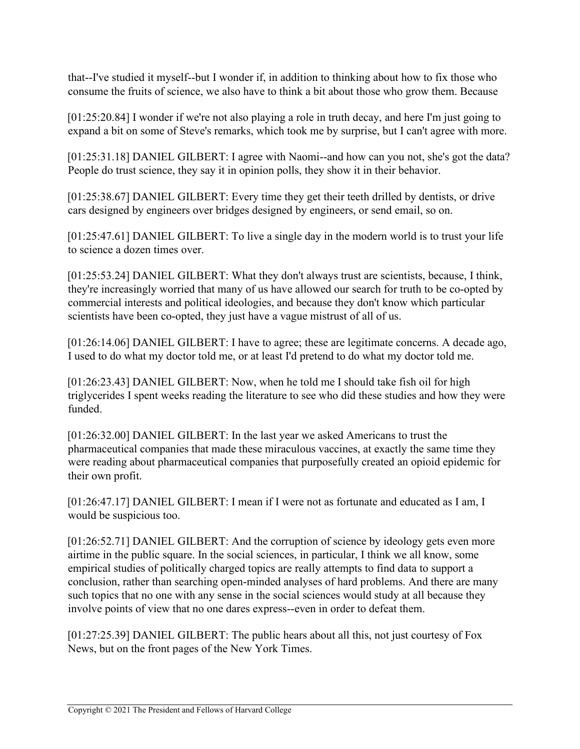that--I've studied it myself--but I wonder if, in addition to thinking about how to fix those who consume the fruits of science, we also have to think a bit about those who grow them. Because

[01:25:20.84] I wonder if we're not also playing a role in truth decay, and here I'm just going to expand a bit on some of Steve's remarks, which took me by surprise, but I can't agree with more.

[01:25:31.18] DANIEL GILBERT: I agree with Naomi--and how can you not, she's got the data? People do trust science, they say it in opinion polls, they show it in their behavior.

[01:25:38.67] DANIEL GILBERT: Every time they get their teeth drilled by dentists, or drive cars designed by engineers over bridges designed by engineers, or send email, so on.

[01:25:47.61] DANIEL GILBERT: To live a single day in the modern world is to trust your life to science a dozen times over.

[01:25:53.24] DANIEL GILBERT: What they don't always trust are scientists, because, I think, they're increasingly worried that many of us have allowed our search for truth to be co-opted by commercial interests and political ideologies, and because they don't know which particular scientists have been co-opted, they just have a vague mistrust of all of us.

[01:26:14.06] DANIEL GILBERT: I have to agree; these are legitimate concerns. A decade ago, I used to do what my doctor told me, or at least I'd pretend to do what my doctor told me.

[01:26:23.43] DANIEL GILBERT: Now, when he told me I should take fish oil for high triglycerides I spent weeks reading the literature to see who did these studies and how they were funded.

[01:26:32.00] DANIEL GILBERT: In the last year we asked Americans to trust the pharmaceutical companies that made these miraculous vaccines, at exactly the same time they were reading about pharmaceutical companies that purposefully created an opioid epidemic for their own profit.

[01:26:47.17] DANIEL GILBERT: I mean if I were not as fortunate and educated as I am, I would be suspicious too.

[01:26:52.71] DANIEL GILBERT: And the corruption of science by ideology gets even more airtime in the public square. In the social sciences, in particular, I think we all know, some empirical studies of politically charged topics are really attempts to find data to support a conclusion, rather than searching open-minded analyses of hard problems. And there are many such topics that no one with any sense in the social sciences would study at all because they involve points of view that no one dares express--even in order to defeat them.

[01:27:25.39] DANIEL GILBERT: The public hears about all this, not just courtesy of Fox News, but on the front pages of the New York Times.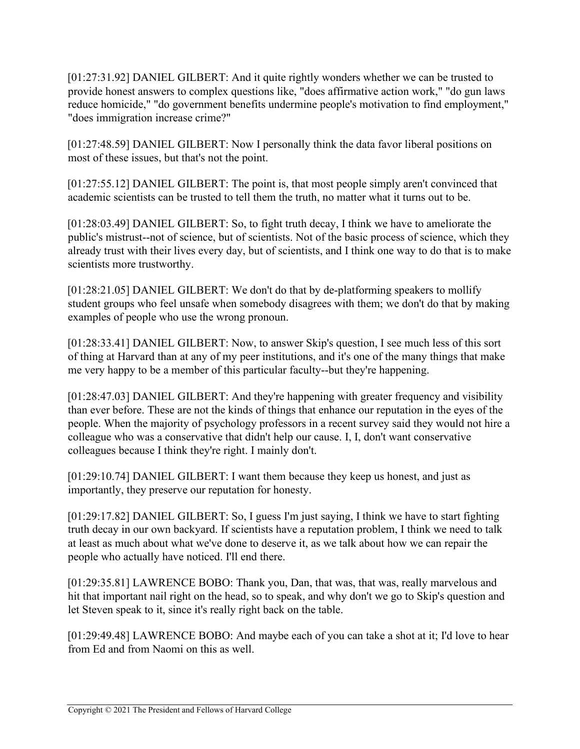[01:27:31.92] DANIEL GILBERT: And it quite rightly wonders whether we can be trusted to provide honest answers to complex questions like, "does affirmative action work," "do gun laws reduce homicide," "do government benefits undermine people's motivation to find employment," "does immigration increase crime?"

[01:27:48.59] DANIEL GILBERT: Now I personally think the data favor liberal positions on most of these issues, but that's not the point.

[01:27:55.12] DANIEL GILBERT: The point is, that most people simply aren't convinced that academic scientists can be trusted to tell them the truth, no matter what it turns out to be.

[01:28:03.49] DANIEL GILBERT: So, to fight truth decay, I think we have to ameliorate the public's mistrust--not of science, but of scientists. Not of the basic process of science, which they already trust with their lives every day, but of scientists, and I think one way to do that is to make scientists more trustworthy.

[01:28:21.05] DANIEL GILBERT: We don't do that by de-platforming speakers to mollify student groups who feel unsafe when somebody disagrees with them; we don't do that by making examples of people who use the wrong pronoun.

[01:28:33.41] DANIEL GILBERT: Now, to answer Skip's question, I see much less of this sort of thing at Harvard than at any of my peer institutions, and it's one of the many things that make me very happy to be a member of this particular faculty--but they're happening.

[01:28:47.03] DANIEL GILBERT: And they're happening with greater frequency and visibility than ever before. These are not the kinds of things that enhance our reputation in the eyes of the people. When the majority of psychology professors in a recent survey said they would not hire a colleague who was a conservative that didn't help our cause. I, I, don't want conservative colleagues because I think they're right. I mainly don't.

[01:29:10.74] DANIEL GILBERT: I want them because they keep us honest, and just as importantly, they preserve our reputation for honesty.

[01:29:17.82] DANIEL GILBERT: So, I guess I'm just saying, I think we have to start fighting truth decay in our own backyard. If scientists have a reputation problem, I think we need to talk at least as much about what we've done to deserve it, as we talk about how we can repair the people who actually have noticed. I'll end there.

[01:29:35.81] LAWRENCE BOBO: Thank you, Dan, that was, that was, really marvelous and hit that important nail right on the head, so to speak, and why don't we go to Skip's question and let Steven speak to it, since it's really right back on the table.

[01:29:49.48] LAWRENCE BOBO: And maybe each of you can take a shot at it; I'd love to hear from Ed and from Naomi on this as well.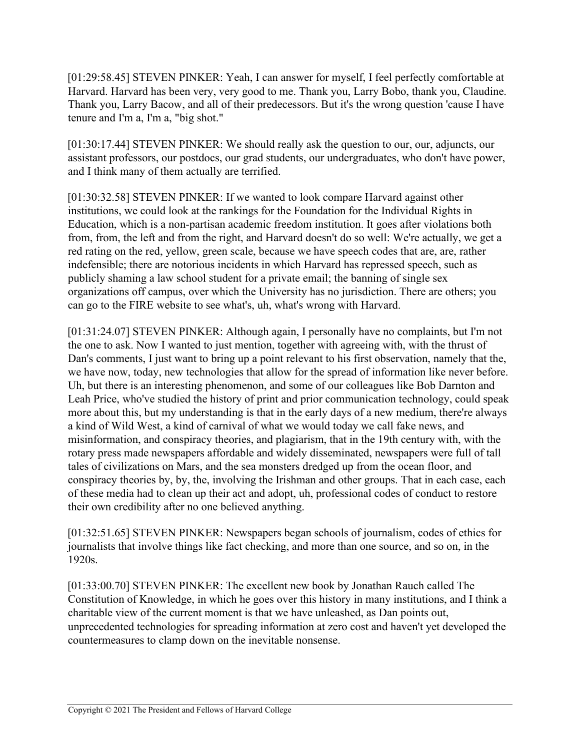[01:29:58.45] STEVEN PINKER: Yeah, I can answer for myself, I feel perfectly comfortable at Harvard. Harvard has been very, very good to me. Thank you, Larry Bobo, thank you, Claudine. Thank you, Larry Bacow, and all of their predecessors. But it's the wrong question 'cause I have tenure and I'm a, I'm a, "big shot."

[01:30:17.44] STEVEN PINKER: We should really ask the question to our, our, adjuncts, our assistant professors, our postdocs, our grad students, our undergraduates, who don't have power, and I think many of them actually are terrified.

[01:30:32.58] STEVEN PINKER: If we wanted to look compare Harvard against other institutions, we could look at the rankings for the Foundation for the Individual Rights in Education, which is a non-partisan academic freedom institution. It goes after violations both from, from, the left and from the right, and Harvard doesn't do so well: We're actually, we get a red rating on the red, yellow, green scale, because we have speech codes that are, are, rather indefensible; there are notorious incidents in which Harvard has repressed speech, such as publicly shaming a law school student for a private email; the banning of single sex organizations off campus, over which the University has no jurisdiction. There are others; you can go to the FIRE website to see what's, uh, what's wrong with Harvard.

[01:31:24.07] STEVEN PINKER: Although again, I personally have no complaints, but I'm not the one to ask. Now I wanted to just mention, together with agreeing with, with the thrust of Dan's comments, I just want to bring up a point relevant to his first observation, namely that the, we have now, today, new technologies that allow for the spread of information like never before. Uh, but there is an interesting phenomenon, and some of our colleagues like Bob Darnton and Leah Price, who've studied the history of print and prior communication technology, could speak more about this, but my understanding is that in the early days of a new medium, there're always a kind of Wild West, a kind of carnival of what we would today we call fake news, and misinformation, and conspiracy theories, and plagiarism, that in the 19th century with, with the rotary press made newspapers affordable and widely disseminated, newspapers were full of tall tales of civilizations on Mars, and the sea monsters dredged up from the ocean floor, and conspiracy theories by, by, the, involving the Irishman and other groups. That in each case, each of these media had to clean up their act and adopt, uh, professional codes of conduct to restore their own credibility after no one believed anything.

[01:32:51.65] STEVEN PINKER: Newspapers began schools of journalism, codes of ethics for journalists that involve things like fact checking, and more than one source, and so on, in the 1920s.

[01:33:00.70] STEVEN PINKER: The excellent new book by Jonathan Rauch called The Constitution of Knowledge, in which he goes over this history in many institutions, and I think a charitable view of the current moment is that we have unleashed, as Dan points out, unprecedented technologies for spreading information at zero cost and haven't yet developed the countermeasures to clamp down on the inevitable nonsense.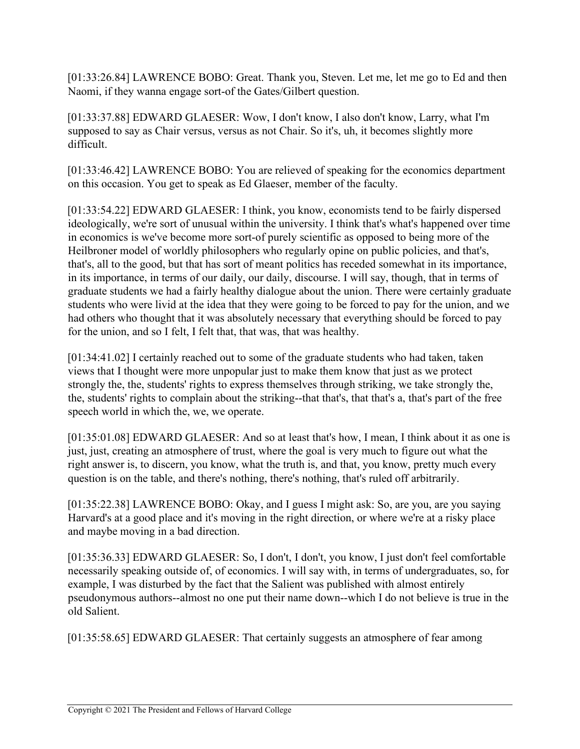[01:33:26.84] LAWRENCE BOBO: Great. Thank you, Steven. Let me, let me go to Ed and then Naomi, if they wanna engage sort-of the Gates/Gilbert question.

[01:33:37.88] EDWARD GLAESER: Wow, I don't know, I also don't know, Larry, what I'm supposed to say as Chair versus, versus as not Chair. So it's, uh, it becomes slightly more difficult.

[01:33:46.42] LAWRENCE BOBO: You are relieved of speaking for the economics department on this occasion. You get to speak as Ed Glaeser, member of the faculty.

[01:33:54.22] EDWARD GLAESER: I think, you know, economists tend to be fairly dispersed ideologically, we're sort of unusual within the university. I think that's what's happened over time in economics is we've become more sort-of purely scientific as opposed to being more of the Heilbroner model of worldly philosophers who regularly opine on public policies, and that's, that's, all to the good, but that has sort of meant politics has receded somewhat in its importance, in its importance, in terms of our daily, our daily, discourse. I will say, though, that in terms of graduate students we had a fairly healthy dialogue about the union. There were certainly graduate students who were livid at the idea that they were going to be forced to pay for the union, and we had others who thought that it was absolutely necessary that everything should be forced to pay for the union, and so I felt, I felt that, that was, that was healthy.

[01:34:41.02] I certainly reached out to some of the graduate students who had taken, taken views that I thought were more unpopular just to make them know that just as we protect strongly the, the, students' rights to express themselves through striking, we take strongly the, the, students' rights to complain about the striking--that that's, that that's a, that's part of the free speech world in which the, we, we operate.

[01:35:01.08] EDWARD GLAESER: And so at least that's how, I mean, I think about it as one is just, just, creating an atmosphere of trust, where the goal is very much to figure out what the right answer is, to discern, you know, what the truth is, and that, you know, pretty much every question is on the table, and there's nothing, there's nothing, that's ruled off arbitrarily.

[01:35:22.38] LAWRENCE BOBO: Okay, and I guess I might ask: So, are you, are you saying Harvard's at a good place and it's moving in the right direction, or where we're at a risky place and maybe moving in a bad direction.

[01:35:36.33] EDWARD GLAESER: So, I don't, I don't, you know, I just don't feel comfortable necessarily speaking outside of, of economics. I will say with, in terms of undergraduates, so, for example, I was disturbed by the fact that the Salient was published with almost entirely pseudonymous authors--almost no one put their name down--which I do not believe is true in the old Salient.

[01:35:58.65] EDWARD GLAESER: That certainly suggests an atmosphere of fear among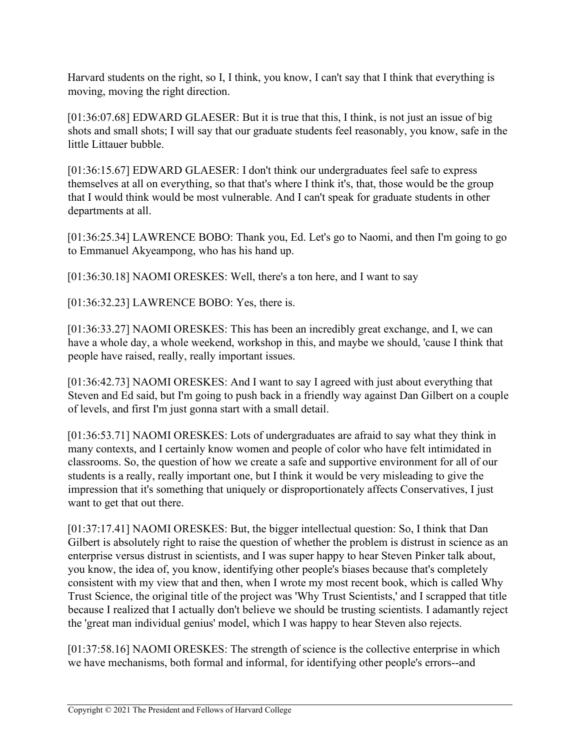Harvard students on the right, so I, I think, you know, I can't say that I think that everything is moving, moving the right direction.

[01:36:07.68] EDWARD GLAESER: But it is true that this, I think, is not just an issue of big shots and small shots; I will say that our graduate students feel reasonably, you know, safe in the little Littauer bubble.

[01:36:15.67] EDWARD GLAESER: I don't think our undergraduates feel safe to express themselves at all on everything, so that that's where I think it's, that, those would be the group that I would think would be most vulnerable. And I can't speak for graduate students in other departments at all.

[01:36:25.34] LAWRENCE BOBO: Thank you, Ed. Let's go to Naomi, and then I'm going to go to Emmanuel Akyeampong, who has his hand up.

[01:36:30.18] NAOMI ORESKES: Well, there's a ton here, and I want to say

[01:36:32.23] LAWRENCE BOBO: Yes, there is.

[01:36:33.27] NAOMI ORESKES: This has been an incredibly great exchange, and I, we can have a whole day, a whole weekend, workshop in this, and maybe we should, 'cause I think that people have raised, really, really important issues.

[01:36:42.73] NAOMI ORESKES: And I want to say I agreed with just about everything that Steven and Ed said, but I'm going to push back in a friendly way against Dan Gilbert on a couple of levels, and first I'm just gonna start with a small detail.

[01:36:53.71] NAOMI ORESKES: Lots of undergraduates are afraid to say what they think in many contexts, and I certainly know women and people of color who have felt intimidated in classrooms. So, the question of how we create a safe and supportive environment for all of our students is a really, really important one, but I think it would be very misleading to give the impression that it's something that uniquely or disproportionately affects Conservatives, I just want to get that out there.

[01:37:17.41] NAOMI ORESKES: But, the bigger intellectual question: So, I think that Dan Gilbert is absolutely right to raise the question of whether the problem is distrust in science as an enterprise versus distrust in scientists, and I was super happy to hear Steven Pinker talk about, you know, the idea of, you know, identifying other people's biases because that's completely consistent with my view that and then, when I wrote my most recent book, which is called Why Trust Science, the original title of the project was 'Why Trust Scientists,' and I scrapped that title because I realized that I actually don't believe we should be trusting scientists. I adamantly reject the 'great man individual genius' model, which I was happy to hear Steven also rejects.

[01:37:58.16] NAOMI ORESKES: The strength of science is the collective enterprise in which we have mechanisms, both formal and informal, for identifying other people's errors--and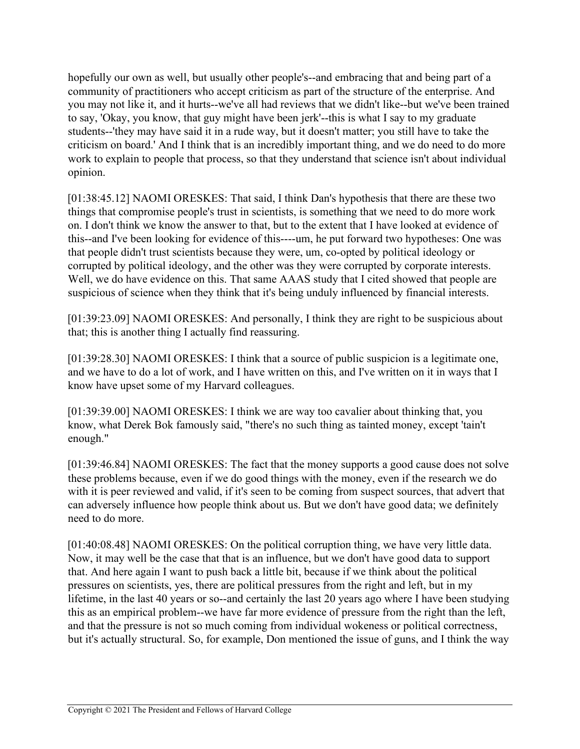hopefully our own as well, but usually other people's--and embracing that and being part of a community of practitioners who accept criticism as part of the structure of the enterprise. And you may not like it, and it hurts--we've all had reviews that we didn't like--but we've been trained to say, 'Okay, you know, that guy might have been jerk'--this is what I say to my graduate students--'they may have said it in a rude way, but it doesn't matter; you still have to take the criticism on board.' And I think that is an incredibly important thing, and we do need to do more work to explain to people that process, so that they understand that science isn't about individual opinion.

[01:38:45.12] NAOMI ORESKES: That said, I think Dan's hypothesis that there are these two things that compromise people's trust in scientists, is something that we need to do more work on. I don't think we know the answer to that, but to the extent that I have looked at evidence of this--and I've been looking for evidence of this----um, he put forward two hypotheses: One was that people didn't trust scientists because they were, um, co-opted by political ideology or corrupted by political ideology, and the other was they were corrupted by corporate interests. Well, we do have evidence on this. That same AAAS study that I cited showed that people are suspicious of science when they think that it's being unduly influenced by financial interests.

[01:39:23.09] NAOMI ORESKES: And personally, I think they are right to be suspicious about that; this is another thing I actually find reassuring.

[01:39:28.30] NAOMI ORESKES: I think that a source of public suspicion is a legitimate one, and we have to do a lot of work, and I have written on this, and I've written on it in ways that I know have upset some of my Harvard colleagues.

[01:39:39.00] NAOMI ORESKES: I think we are way too cavalier about thinking that, you know, what Derek Bok famously said, "there's no such thing as tainted money, except 'tain't enough."

[01:39:46.84] NAOMI ORESKES: The fact that the money supports a good cause does not solve these problems because, even if we do good things with the money, even if the research we do with it is peer reviewed and valid, if it's seen to be coming from suspect sources, that advert that can adversely influence how people think about us. But we don't have good data; we definitely need to do more.

[01:40:08.48] NAOMI ORESKES: On the political corruption thing, we have very little data. Now, it may well be the case that that is an influence, but we don't have good data to support that. And here again I want to push back a little bit, because if we think about the political pressures on scientists, yes, there are political pressures from the right and left, but in my lifetime, in the last 40 years or so--and certainly the last 20 years ago where I have been studying this as an empirical problem--we have far more evidence of pressure from the right than the left, and that the pressure is not so much coming from individual wokeness or political correctness, but it's actually structural. So, for example, Don mentioned the issue of guns, and I think the way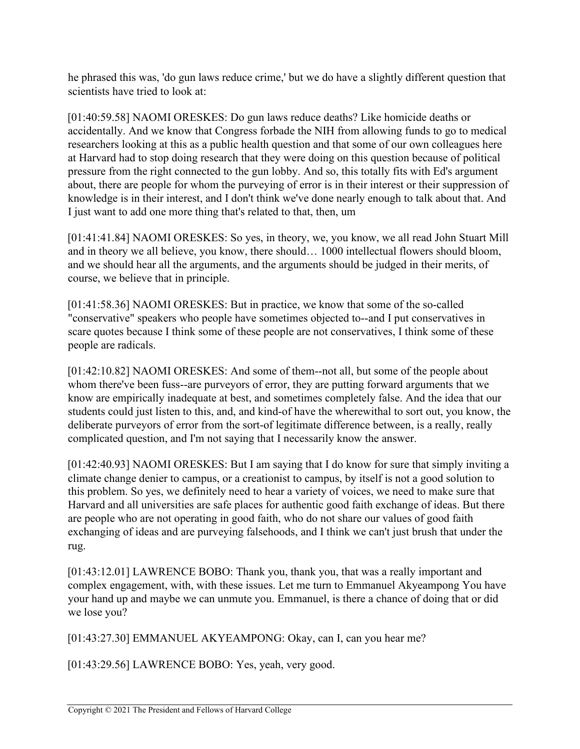he phrased this was, 'do gun laws reduce crime,' but we do have a slightly different question that scientists have tried to look at:

[01:40:59.58] NAOMI ORESKES: Do gun laws reduce deaths? Like homicide deaths or accidentally. And we know that Congress forbade the NIH from allowing funds to go to medical researchers looking at this as a public health question and that some of our own colleagues here at Harvard had to stop doing research that they were doing on this question because of political pressure from the right connected to the gun lobby. And so, this totally fits with Ed's argument about, there are people for whom the purveying of error is in their interest or their suppression of knowledge is in their interest, and I don't think we've done nearly enough to talk about that. And I just want to add one more thing that's related to that, then, um

[01:41:41.84] NAOMI ORESKES: So yes, in theory, we, you know, we all read John Stuart Mill and in theory we all believe, you know, there should… 1000 intellectual flowers should bloom, and we should hear all the arguments, and the arguments should be judged in their merits, of course, we believe that in principle.

[01:41:58.36] NAOMI ORESKES: But in practice, we know that some of the so-called "conservative" speakers who people have sometimes objected to--and I put conservatives in scare quotes because I think some of these people are not conservatives, I think some of these people are radicals.

[01:42:10.82] NAOMI ORESKES: And some of them--not all, but some of the people about whom there've been fuss--are purveyors of error, they are putting forward arguments that we know are empirically inadequate at best, and sometimes completely false. And the idea that our students could just listen to this, and, and kind-of have the wherewithal to sort out, you know, the deliberate purveyors of error from the sort-of legitimate difference between, is a really, really complicated question, and I'm not saying that I necessarily know the answer.

[01:42:40.93] NAOMI ORESKES: But I am saying that I do know for sure that simply inviting a climate change denier to campus, or a creationist to campus, by itself is not a good solution to this problem. So yes, we definitely need to hear a variety of voices, we need to make sure that Harvard and all universities are safe places for authentic good faith exchange of ideas. But there are people who are not operating in good faith, who do not share our values of good faith exchanging of ideas and are purveying falsehoods, and I think we can't just brush that under the rug.

[01:43:12.01] LAWRENCE BOBO: Thank you, thank you, that was a really important and complex engagement, with, with these issues. Let me turn to Emmanuel Akyeampong You have your hand up and maybe we can unmute you. Emmanuel, is there a chance of doing that or did we lose you?

[01:43:27.30] EMMANUEL AKYEAMPONG: Okay, can I, can you hear me?

[01:43:29.56] LAWRENCE BOBO: Yes, yeah, very good.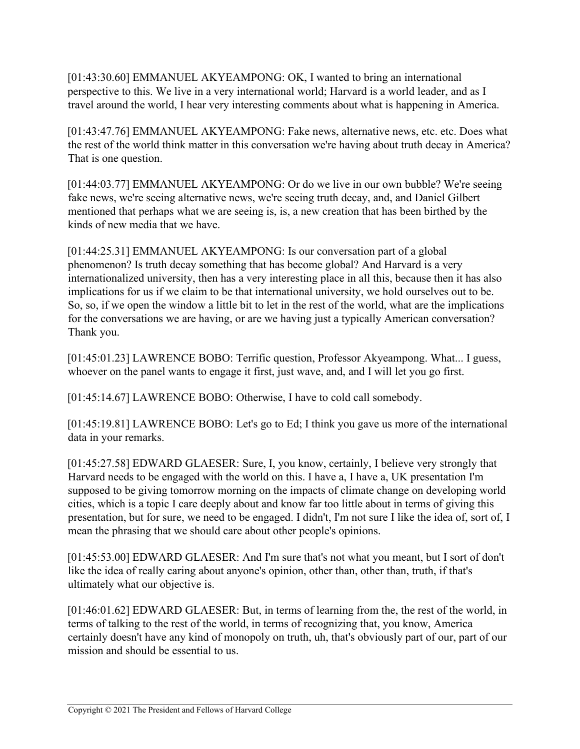[01:43:30.60] EMMANUEL AKYEAMPONG: OK, I wanted to bring an international perspective to this. We live in a very international world; Harvard is a world leader, and as I travel around the world, I hear very interesting comments about what is happening in America.

[01:43:47.76] EMMANUEL AKYEAMPONG: Fake news, alternative news, etc. etc. Does what the rest of the world think matter in this conversation we're having about truth decay in America? That is one question.

[01:44:03.77] EMMANUEL AKYEAMPONG: Or do we live in our own bubble? We're seeing fake news, we're seeing alternative news, we're seeing truth decay, and, and Daniel Gilbert mentioned that perhaps what we are seeing is, is, a new creation that has been birthed by the kinds of new media that we have.

[01:44:25.31] EMMANUEL AKYEAMPONG: Is our conversation part of a global phenomenon? Is truth decay something that has become global? And Harvard is a very internationalized university, then has a very interesting place in all this, because then it has also implications for us if we claim to be that international university, we hold ourselves out to be. So, so, if we open the window a little bit to let in the rest of the world, what are the implications for the conversations we are having, or are we having just a typically American conversation? Thank you.

[01:45:01.23] LAWRENCE BOBO: Terrific question, Professor Akyeampong. What... I guess, whoever on the panel wants to engage it first, just wave, and, and I will let you go first.

[01:45:14.67] LAWRENCE BOBO: Otherwise, I have to cold call somebody.

[01:45:19.81] LAWRENCE BOBO: Let's go to Ed; I think you gave us more of the international data in your remarks.

[01:45:27.58] EDWARD GLAESER: Sure, I, you know, certainly, I believe very strongly that Harvard needs to be engaged with the world on this. I have a, I have a, UK presentation I'm supposed to be giving tomorrow morning on the impacts of climate change on developing world cities, which is a topic I care deeply about and know far too little about in terms of giving this presentation, but for sure, we need to be engaged. I didn't, I'm not sure I like the idea of, sort of, I mean the phrasing that we should care about other people's opinions.

[01:45:53.00] EDWARD GLAESER: And I'm sure that's not what you meant, but I sort of don't like the idea of really caring about anyone's opinion, other than, other than, truth, if that's ultimately what our objective is.

[01:46:01.62] EDWARD GLAESER: But, in terms of learning from the, the rest of the world, in terms of talking to the rest of the world, in terms of recognizing that, you know, America certainly doesn't have any kind of monopoly on truth, uh, that's obviously part of our, part of our mission and should be essential to us.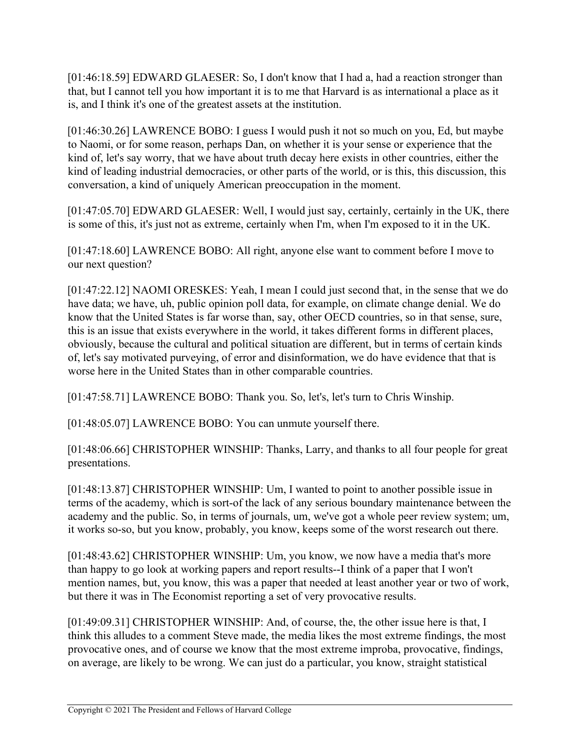[01:46:18.59] EDWARD GLAESER: So, I don't know that I had a, had a reaction stronger than that, but I cannot tell you how important it is to me that Harvard is as international a place as it is, and I think it's one of the greatest assets at the institution.

[01:46:30.26] LAWRENCE BOBO: I guess I would push it not so much on you, Ed, but maybe to Naomi, or for some reason, perhaps Dan, on whether it is your sense or experience that the kind of, let's say worry, that we have about truth decay here exists in other countries, either the kind of leading industrial democracies, or other parts of the world, or is this, this discussion, this conversation, a kind of uniquely American preoccupation in the moment.

[01:47:05.70] EDWARD GLAESER: Well, I would just say, certainly, certainly in the UK, there is some of this, it's just not as extreme, certainly when I'm, when I'm exposed to it in the UK.

[01:47:18.60] LAWRENCE BOBO: All right, anyone else want to comment before I move to our next question?

[01:47:22.12] NAOMI ORESKES: Yeah, I mean I could just second that, in the sense that we do have data; we have, uh, public opinion poll data, for example, on climate change denial. We do know that the United States is far worse than, say, other OECD countries, so in that sense, sure, this is an issue that exists everywhere in the world, it takes different forms in different places, obviously, because the cultural and political situation are different, but in terms of certain kinds of, let's say motivated purveying, of error and disinformation, we do have evidence that that is worse here in the United States than in other comparable countries.

[01:47:58.71] LAWRENCE BOBO: Thank you. So, let's, let's turn to Chris Winship.

[01:48:05.07] LAWRENCE BOBO: You can unmute yourself there.

[01:48:06.66] CHRISTOPHER WINSHIP: Thanks, Larry, and thanks to all four people for great presentations.

[01:48:13.87] CHRISTOPHER WINSHIP: Um, I wanted to point to another possible issue in terms of the academy, which is sort-of the lack of any serious boundary maintenance between the academy and the public. So, in terms of journals, um, we've got a whole peer review system; um, it works so-so, but you know, probably, you know, keeps some of the worst research out there.

[01:48:43.62] CHRISTOPHER WINSHIP: Um, you know, we now have a media that's more than happy to go look at working papers and report results--I think of a paper that I won't mention names, but, you know, this was a paper that needed at least another year or two of work, but there it was in The Economist reporting a set of very provocative results.

[01:49:09.31] CHRISTOPHER WINSHIP: And, of course, the, the other issue here is that, I think this alludes to a comment Steve made, the media likes the most extreme findings, the most provocative ones, and of course we know that the most extreme improba, provocative, findings, on average, are likely to be wrong. We can just do a particular, you know, straight statistical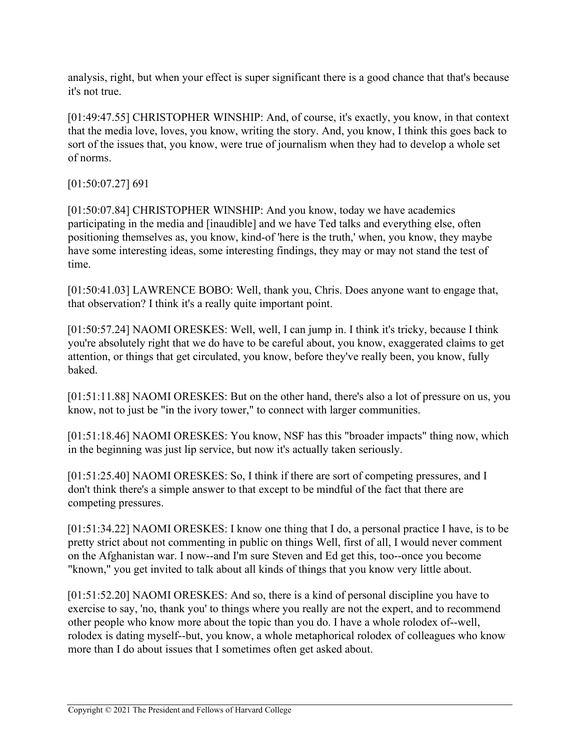analysis, right, but when your effect is super significant there is a good chance that that's because it's not true.

[01:49:47.55] CHRISTOPHER WINSHIP: And, of course, it's exactly, you know, in that context that the media love, loves, you know, writing the story. And, you know, I think this goes back to sort of the issues that, you know, were true of journalism when they had to develop a whole set of norms.

[01:50:07.27] 691

[01:50:07.84] CHRISTOPHER WINSHIP: And you know, today we have academics participating in the media and [inaudible] and we have Ted talks and everything else, often positioning themselves as, you know, kind-of 'here is the truth,' when, you know, they maybe have some interesting ideas, some interesting findings, they may or may not stand the test of time.

[01:50:41.03] LAWRENCE BOBO: Well, thank you, Chris. Does anyone want to engage that, that observation? I think it's a really quite important point.

[01:50:57.24] NAOMI ORESKES: Well, well, I can jump in. I think it's tricky, because I think you're absolutely right that we do have to be careful about, you know, exaggerated claims to get attention, or things that get circulated, you know, before they've really been, you know, fully baked.

[01:51:11.88] NAOMI ORESKES: But on the other hand, there's also a lot of pressure on us, you know, not to just be "in the ivory tower," to connect with larger communities.

[01:51:18.46] NAOMI ORESKES: You know, NSF has this "broader impacts" thing now, which in the beginning was just lip service, but now it's actually taken seriously.

[01:51:25.40] NAOMI ORESKES: So, I think if there are sort of competing pressures, and I don't think there's a simple answer to that except to be mindful of the fact that there are competing pressures.

[01:51:34.22] NAOMI ORESKES: I know one thing that I do, a personal practice I have, is to be pretty strict about not commenting in public on things Well, first of all, I would never comment on the Afghanistan war. I now--and I'm sure Steven and Ed get this, too--once you become "known," you get invited to talk about all kinds of things that you know very little about.

[01:51:52.20] NAOMI ORESKES: And so, there is a kind of personal discipline you have to exercise to say, 'no, thank you' to things where you really are not the expert, and to recommend other people who know more about the topic than you do. I have a whole rolodex of--well, rolodex is dating myself--but, you know, a whole metaphorical rolodex of colleagues who know more than I do about issues that I sometimes often get asked about.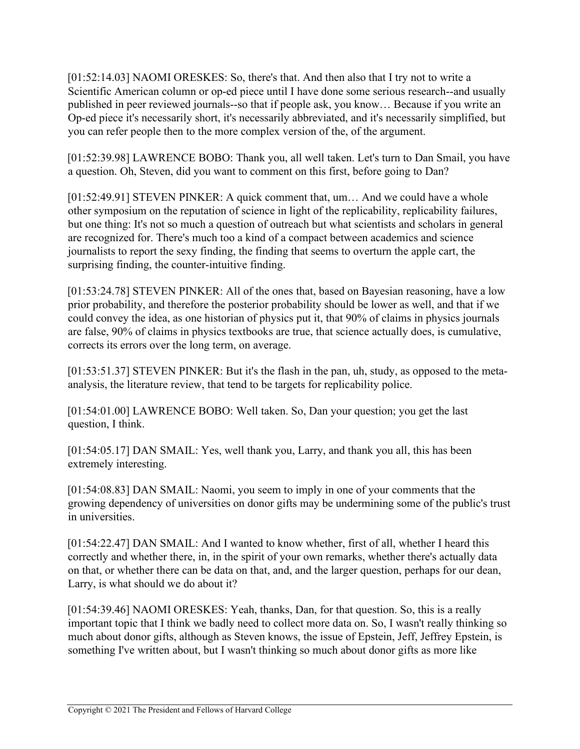[01:52:14.03] NAOMI ORESKES: So, there's that. And then also that I try not to write a Scientific American column or op-ed piece until I have done some serious research--and usually published in peer reviewed journals--so that if people ask, you know… Because if you write an Op-ed piece it's necessarily short, it's necessarily abbreviated, and it's necessarily simplified, but you can refer people then to the more complex version of the, of the argument.

[01:52:39.98] LAWRENCE BOBO: Thank you, all well taken. Let's turn to Dan Smail, you have a question. Oh, Steven, did you want to comment on this first, before going to Dan?

[01:52:49.91] STEVEN PINKER: A quick comment that, um... And we could have a whole other symposium on the reputation of science in light of the replicability, replicability failures, but one thing: It's not so much a question of outreach but what scientists and scholars in general are recognized for. There's much too a kind of a compact between academics and science journalists to report the sexy finding, the finding that seems to overturn the apple cart, the surprising finding, the counter-intuitive finding.

[01:53:24.78] STEVEN PINKER: All of the ones that, based on Bayesian reasoning, have a low prior probability, and therefore the posterior probability should be lower as well, and that if we could convey the idea, as one historian of physics put it, that 90% of claims in physics journals are false, 90% of claims in physics textbooks are true, that science actually does, is cumulative, corrects its errors over the long term, on average.

[01:53:51.37] STEVEN PINKER: But it's the flash in the pan, uh, study, as opposed to the metaanalysis, the literature review, that tend to be targets for replicability police.

[01:54:01.00] LAWRENCE BOBO: Well taken. So, Dan your question; you get the last question, I think.

[01:54:05.17] DAN SMAIL: Yes, well thank you, Larry, and thank you all, this has been extremely interesting.

[01:54:08.83] DAN SMAIL: Naomi, you seem to imply in one of your comments that the growing dependency of universities on donor gifts may be undermining some of the public's trust in universities.

[01:54:22.47] DAN SMAIL: And I wanted to know whether, first of all, whether I heard this correctly and whether there, in, in the spirit of your own remarks, whether there's actually data on that, or whether there can be data on that, and, and the larger question, perhaps for our dean, Larry, is what should we do about it?

[01:54:39.46] NAOMI ORESKES: Yeah, thanks, Dan, for that question. So, this is a really important topic that I think we badly need to collect more data on. So, I wasn't really thinking so much about donor gifts, although as Steven knows, the issue of Epstein, Jeff, Jeffrey Epstein, is something I've written about, but I wasn't thinking so much about donor gifts as more like